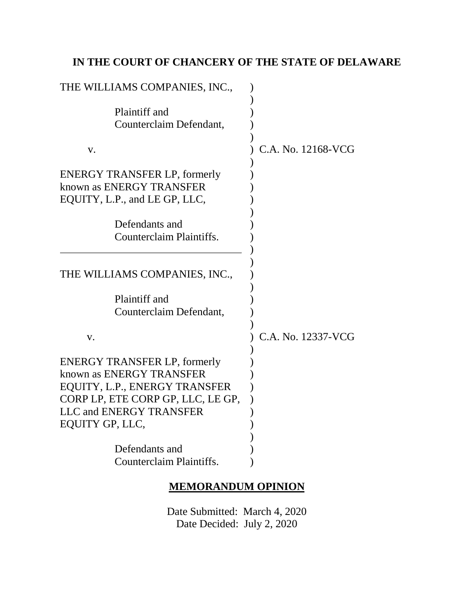# **IN THE COURT OF CHANCERY OF THE STATE OF DELAWARE**

| THE WILLIAMS COMPANIES, INC.,                                                                                                                                                              |                    |
|--------------------------------------------------------------------------------------------------------------------------------------------------------------------------------------------|--------------------|
| Plaintiff and<br>Counterclaim Defendant,                                                                                                                                                   |                    |
| V.                                                                                                                                                                                         | C.A. No. 12168-VCG |
| <b>ENERGY TRANSFER LP, formerly</b><br>known as ENERGY TRANSFER<br>EQUITY, L.P., and LE GP, LLC,                                                                                           |                    |
| Defendants and<br>Counterclaim Plaintiffs.                                                                                                                                                 |                    |
| THE WILLIAMS COMPANIES, INC.,                                                                                                                                                              |                    |
| Plaintiff and<br>Counterclaim Defendant,                                                                                                                                                   |                    |
| V.                                                                                                                                                                                         | C.A. No. 12337-VCG |
| <b>ENERGY TRANSFER LP, formerly</b><br>known as ENERGY TRANSFER<br>EQUITY, L.P., ENERGY TRANSFER<br>CORP LP, ETE CORP GP, LLC, LE GP,<br><b>LLC and ENERGY TRANSFER</b><br>EQUITY GP, LLC, |                    |
| Defendants and<br>Counterclaim Plaintiffs.                                                                                                                                                 |                    |

### **MEMORANDUM OPINION**

Date Submitted: March 4, 2020 Date Decided: July 2, 2020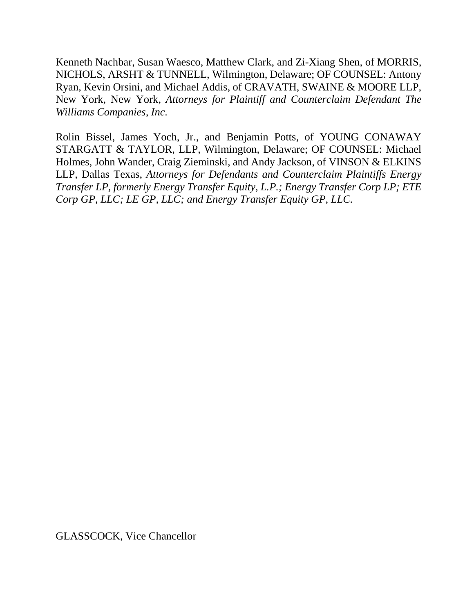Kenneth Nachbar, Susan Waesco, Matthew Clark, and Zi-Xiang Shen, of MORRIS, NICHOLS, ARSHT & TUNNELL, Wilmington, Delaware; OF COUNSEL: Antony Ryan, Kevin Orsini, and Michael Addis, of CRAVATH, SWAINE & MOORE LLP, New York, New York, *Attorneys for Plaintiff and Counterclaim Defendant The Williams Companies, Inc.*

Rolin Bissel, James Yoch, Jr., and Benjamin Potts, of YOUNG CONAWAY STARGATT & TAYLOR, LLP, Wilmington, Delaware; OF COUNSEL: Michael Holmes, John Wander, Craig Zieminski, and Andy Jackson, of VINSON & ELKINS LLP, Dallas Texas, *Attorneys for Defendants and Counterclaim Plaintiffs Energy Transfer LP, formerly Energy Transfer Equity, L.P.; Energy Transfer Corp LP; ETE Corp GP, LLC; LE GP, LLC; and Energy Transfer Equity GP, LLC.*

GLASSCOCK, Vice Chancellor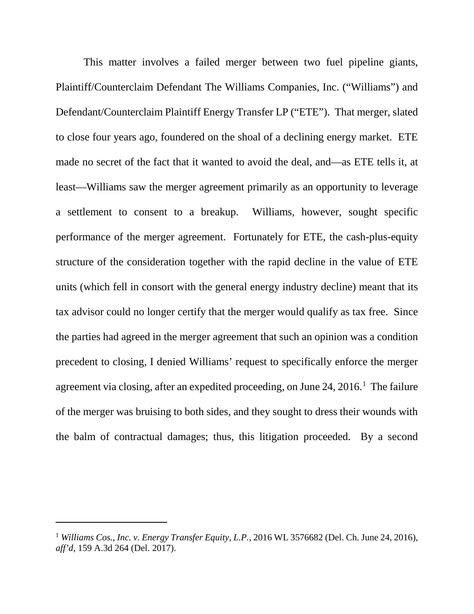This matter involves a failed merger between two fuel pipeline giants, Plaintiff/Counterclaim Defendant The Williams Companies, Inc. ("Williams") and Defendant/Counterclaim Plaintiff Energy Transfer LP ("ETE"). That merger, slated to close four years ago, foundered on the shoal of a declining energy market. ETE made no secret of the fact that it wanted to avoid the deal, and—as ETE tells it, at least—Williams saw the merger agreement primarily as an opportunity to leverage a settlement to consent to a breakup. Williams, however, sought specific performance of the merger agreement. Fortunately for ETE, the cash-plus-equity structure of the consideration together with the rapid decline in the value of ETE units (which fell in consort with the general energy industry decline) meant that its tax advisor could no longer certify that the merger would qualify as tax free. Since the parties had agreed in the merger agreement that such an opinion was a condition precedent to closing, I denied Williams' request to specifically enforce the merger agreement via closing, after an expedited proceeding, on June 24, 2016.<sup>1</sup> The failure of the merger was bruising to both sides, and they sought to dress their wounds with the balm of contractual damages; thus, this litigation proceeded. By a second

 $\overline{a}$ 

<sup>1</sup> *Williams Cos., Inc. v. Energy Transfer Equity, L.P.*, 2016 WL 3576682 (Del. Ch. June 24, 2016), *aff'd*, 159 A.3d 264 (Del. 2017).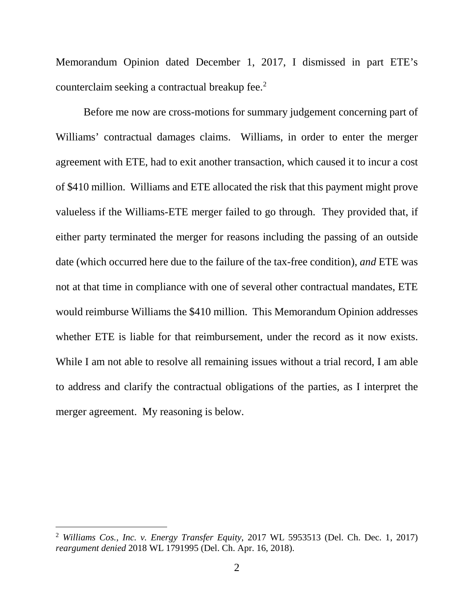Memorandum Opinion dated December 1, 2017, I dismissed in part ETE's counterclaim seeking a contractual breakup fee.2

Before me now are cross-motions for summary judgement concerning part of Williams' contractual damages claims. Williams, in order to enter the merger agreement with ETE, had to exit another transaction, which caused it to incur a cost of \$410 million. Williams and ETE allocated the risk that this payment might prove valueless if the Williams-ETE merger failed to go through. They provided that, if either party terminated the merger for reasons including the passing of an outside date (which occurred here due to the failure of the tax-free condition), *and* ETE was not at that time in compliance with one of several other contractual mandates, ETE would reimburse Williams the \$410 million. This Memorandum Opinion addresses whether ETE is liable for that reimbursement, under the record as it now exists. While I am not able to resolve all remaining issues without a trial record, I am able to address and clarify the contractual obligations of the parties, as I interpret the merger agreement. My reasoning is below.

 <sup>2</sup> *Williams Cos., Inc. v. Energy Transfer Equity*, 2017 WL 5953513 (Del. Ch. Dec. 1, 2017) *reargument denied* 2018 WL 1791995 (Del. Ch. Apr. 16, 2018).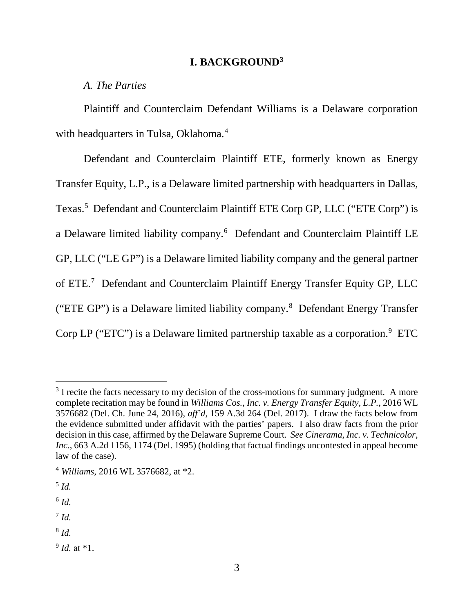#### **I. BACKGROUND3**

*A. The Parties*

Plaintiff and Counterclaim Defendant Williams is a Delaware corporation with headquarters in Tulsa, Oklahoma.<sup>4</sup>

Defendant and Counterclaim Plaintiff ETE, formerly known as Energy Transfer Equity, L.P., is a Delaware limited partnership with headquarters in Dallas, Texas.<sup>5</sup> Defendant and Counterclaim Plaintiff ETE Corp GP, LLC ("ETE Corp") is a Delaware limited liability company.<sup>6</sup> Defendant and Counterclaim Plaintiff LE GP, LLC ("LE GP") is a Delaware limited liability company and the general partner of ETE.<sup>7</sup> Defendant and Counterclaim Plaintiff Energy Transfer Equity GP, LLC ("ETE GP") is a Delaware limited liability company.8 Defendant Energy Transfer Corp LP ("ETC") is a Delaware limited partnership taxable as a corporation. $9$  ETC

- <sup>7</sup> *Id.*
- <sup>8</sup> *Id.*

 $3$  I recite the facts necessary to my decision of the cross-motions for summary judgment. A more complete recitation may be found in *Williams Cos., Inc. v. Energy Transfer Equity, L.P.*, 2016 WL 3576682 (Del. Ch. June 24, 2016), *aff'd*, 159 A.3d 264 (Del. 2017). I draw the facts below from the evidence submitted under affidavit with the parties' papers. I also draw facts from the prior decision in this case, affirmed by the Delaware Supreme Court. *See Cinerama, Inc. v. Technicolor, Inc.*, 663 A.2d 1156, 1174 (Del. 1995) (holding that factual findings uncontested in appeal become law of the case).

<sup>4</sup> *Williams*, 2016 WL 3576682, at \*2.

<sup>5</sup> *Id.*

 $^6$  *Id.* 

<sup>9</sup> *Id.* at \*1.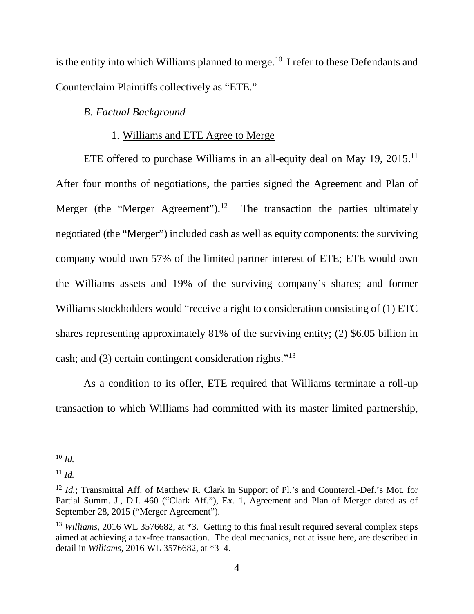is the entity into which Williams planned to merge.<sup>10</sup> I refer to these Defendants and Counterclaim Plaintiffs collectively as "ETE."

### *B. Factual Background*

## 1. Williams and ETE Agree to Merge

ETE offered to purchase Williams in an all-equity deal on May 19, 2015.<sup>11</sup> After four months of negotiations, the parties signed the Agreement and Plan of Merger (the "Merger Agreement").<sup>12</sup> The transaction the parties ultimately negotiated (the "Merger") included cash as well as equity components: the surviving company would own 57% of the limited partner interest of ETE; ETE would own the Williams assets and 19% of the surviving company's shares; and former Williams stockholders would "receive a right to consideration consisting of (1) ETC shares representing approximately 81% of the surviving entity; (2) \$6.05 billion in cash; and (3) certain contingent consideration rights."13

As a condition to its offer, ETE required that Williams terminate a roll-up transaction to which Williams had committed with its master limited partnership,

 <sup>10</sup> *Id.*

 $11 \, Id.$ 

<sup>&</sup>lt;sup>12</sup> *Id.*; Transmittal Aff. of Matthew R. Clark in Support of Pl.'s and Countercl.-Def.'s Mot. for Partial Summ. J., D.I. 460 ("Clark Aff."), Ex. 1, Agreement and Plan of Merger dated as of September 28, 2015 ("Merger Agreement").

<sup>&</sup>lt;sup>13</sup> *Williams*, 2016 WL 3576682, at  $*3$ . Getting to this final result required several complex steps aimed at achieving a tax-free transaction. The deal mechanics, not at issue here, are described in detail in *Williams*, 2016 WL 3576682, at \*3–4.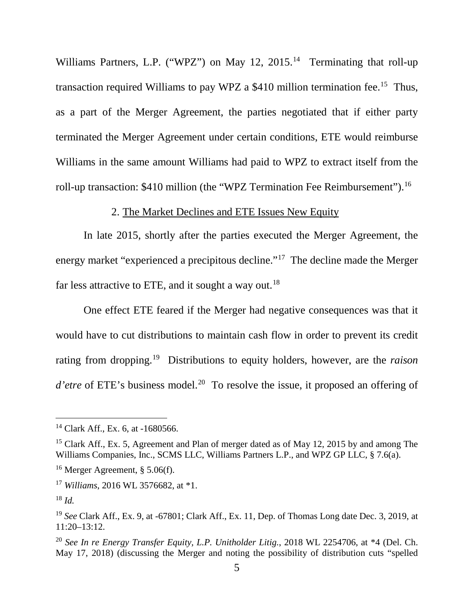Williams Partners, L.P. ("WPZ") on May 12, 2015.<sup>14</sup> Terminating that roll-up transaction required Williams to pay WPZ a  $$410$  million termination fee.<sup>15</sup> Thus, as a part of the Merger Agreement, the parties negotiated that if either party terminated the Merger Agreement under certain conditions, ETE would reimburse Williams in the same amount Williams had paid to WPZ to extract itself from the roll-up transaction: \$410 million (the "WPZ Termination Fee Reimbursement").<sup>16</sup>

## 2. The Market Declines and ETE Issues New Equity

In late 2015, shortly after the parties executed the Merger Agreement, the energy market "experienced a precipitous decline."17 The decline made the Merger far less attractive to ETE, and it sought a way out.<sup>18</sup>

One effect ETE feared if the Merger had negative consequences was that it would have to cut distributions to maintain cash flow in order to prevent its credit rating from dropping. 19 Distributions to equity holders, however, are the *raison d'etre* of ETE's business model.<sup>20</sup> To resolve the issue, it proposed an offering of

 <sup>14</sup> Clark Aff., Ex. 6, at -1680566.

<sup>&</sup>lt;sup>15</sup> Clark Aff., Ex. 5, Agreement and Plan of merger dated as of May 12, 2015 by and among The Williams Companies, Inc., SCMS LLC, Williams Partners L.P., and WPZ GP LLC, § 7.6(a).

 $16$  Merger Agreement, § 5.06(f).

<sup>17</sup> *Williams*, 2016 WL 3576682, at \*1.

<sup>18</sup> *Id.*

<sup>19</sup> *See* Clark Aff., Ex. 9, at -67801; Clark Aff., Ex. 11, Dep. of Thomas Long date Dec. 3, 2019, at 11:20–13:12.

<sup>20</sup> *See In re Energy Transfer Equity, L.P. Unitholder Litig.*, 2018 WL 2254706, at \*4 (Del. Ch. May 17, 2018) (discussing the Merger and noting the possibility of distribution cuts "spelled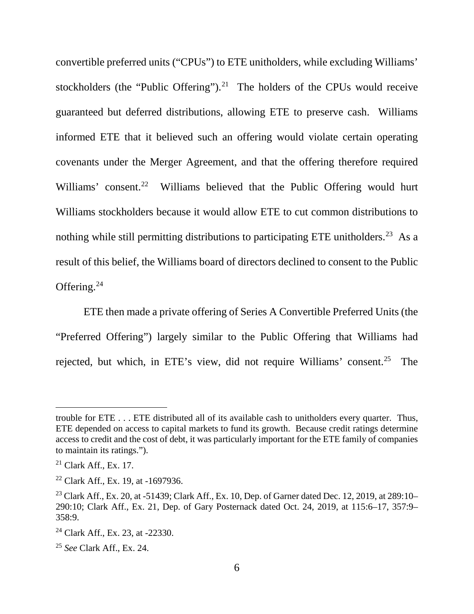convertible preferred units ("CPUs") to ETE unitholders, while excluding Williams' stockholders (the "Public Offering").<sup>21</sup> The holders of the CPUs would receive guaranteed but deferred distributions, allowing ETE to preserve cash. Williams informed ETE that it believed such an offering would violate certain operating covenants under the Merger Agreement, and that the offering therefore required Williams' consent.<sup>22</sup> Williams believed that the Public Offering would hurt Williams stockholders because it would allow ETE to cut common distributions to nothing while still permitting distributions to participating ETE unitholders.<sup>23</sup> As a result of this belief, the Williams board of directors declined to consent to the Public Offering.<sup>24</sup>

ETE then made a private offering of Series A Convertible Preferred Units (the "Preferred Offering") largely similar to the Public Offering that Williams had rejected, but which, in ETE's view, did not require Williams' consent.<sup>25</sup> The

 $\overline{a}$ 

trouble for ETE . . . ETE distributed all of its available cash to unitholders every quarter. Thus, ETE depended on access to capital markets to fund its growth. Because credit ratings determine access to credit and the cost of debt, it was particularly important for the ETE family of companies to maintain its ratings.").

 $^{21}$  Clark Aff., Ex. 17.

<sup>22</sup> Clark Aff., Ex. 19, at -1697936.

<sup>&</sup>lt;sup>23</sup> Clark Aff., Ex. 20, at -51439; Clark Aff., Ex. 10, Dep. of Garner dated Dec. 12, 2019, at 289:10– 290:10; Clark Aff., Ex. 21, Dep. of Gary Posternack dated Oct. 24, 2019, at 115:6–17, 357:9– 358:9.

<sup>&</sup>lt;sup>24</sup> Clark Aff., Ex. 23, at  $-22330$ .

<sup>25</sup> *See* Clark Aff., Ex. 24.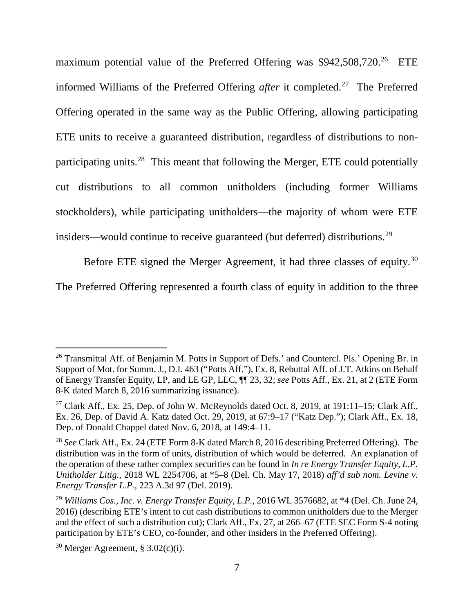maximum potential value of the Preferred Offering was  $$942,508,720$ <sup>26</sup> ETE informed Williams of the Preferred Offering *after* it completed.<sup>27</sup> The Preferred Offering operated in the same way as the Public Offering, allowing participating ETE units to receive a guaranteed distribution, regardless of distributions to nonparticipating units.28 This meant that following the Merger, ETE could potentially cut distributions to all common unitholders (including former Williams stockholders), while participating unitholders—the majority of whom were ETE insiders—would continue to receive guaranteed (but deferred) distributions.<sup>29</sup>

Before ETE signed the Merger Agreement, it had three classes of equity.<sup>30</sup>

The Preferred Offering represented a fourth class of equity in addition to the three

<sup>&</sup>lt;sup>26</sup> Transmittal Aff. of Benjamin M. Potts in Support of Defs.' and Countercl. Pls.' Opening Br. in Support of Mot. for Summ. J., D.I. 463 ("Potts Aff."), Ex. 8, Rebuttal Aff. of J.T. Atkins on Behalf of Energy Transfer Equity, LP, and LE GP, LLC, ¶¶ 23, 32; *see* Potts Aff., Ex. 21, at 2 (ETE Form 8-K dated March 8, 2016 summarizing issuance).

<sup>&</sup>lt;sup>27</sup> Clark Aff., Ex. 25, Dep. of John W. McReynolds dated Oct. 8, 2019, at 191:11–15; Clark Aff., Ex. 26, Dep. of David A. Katz dated Oct. 29, 2019, at 67:9–17 ("Katz Dep."); Clark Aff., Ex. 18, Dep. of Donald Chappel dated Nov. 6, 2018, at 149:4–11.

<sup>28</sup> *See* Clark Aff., Ex. 24 (ETE Form 8-K dated March 8, 2016 describing Preferred Offering). The distribution was in the form of units, distribution of which would be deferred. An explanation of the operation of these rather complex securities can be found in *In re Energy Transfer Equity, L.P. Unitholder Litig.*, 2018 WL 2254706, at \*5–8 (Del. Ch. May 17, 2018) *aff'd sub nom. Levine v. Energy Transfer L.P.*, 223 A.3d 97 (Del. 2019).

<sup>29</sup> *Williams Cos., Inc. v. Energy Transfer Equity, L.P.*, 2016 WL 3576682, at \*4 (Del. Ch. June 24, 2016) (describing ETE's intent to cut cash distributions to common unitholders due to the Merger and the effect of such a distribution cut); Clark Aff., Ex. 27, at 266–67 (ETE SEC Form S-4 noting participation by ETE's CEO, co-founder, and other insiders in the Preferred Offering).

 $30$  Merger Agreement, § 3.02(c)(i).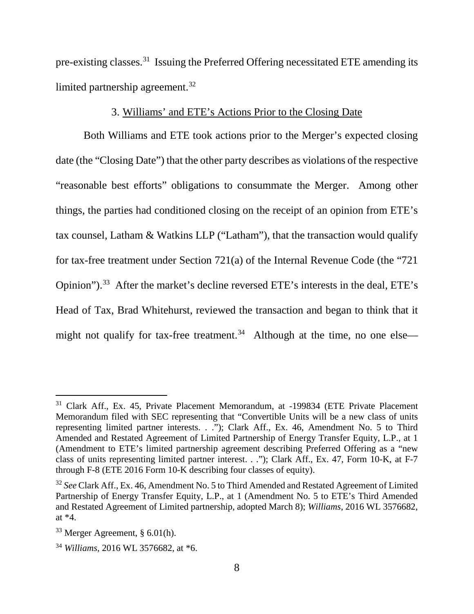pre-existing classes.31 Issuing the Preferred Offering necessitated ETE amending its limited partnership agreement.<sup>32</sup>

### 3. Williams' and ETE's Actions Prior to the Closing Date

Both Williams and ETE took actions prior to the Merger's expected closing date (the "Closing Date") that the other party describes as violations of the respective "reasonable best efforts" obligations to consummate the Merger. Among other things, the parties had conditioned closing on the receipt of an opinion from ETE's tax counsel, Latham & Watkins LLP ("Latham"), that the transaction would qualify for tax-free treatment under Section 721(a) of the Internal Revenue Code (the "721 Opinion").33 After the market's decline reversed ETE's interests in the deal, ETE's Head of Tax, Brad Whitehurst, reviewed the transaction and began to think that it might not qualify for tax-free treatment.<sup>34</sup> Although at the time, no one else—

<sup>&</sup>lt;sup>31</sup> Clark Aff., Ex. 45, Private Placement Memorandum, at -199834 (ETE Private Placement Memorandum filed with SEC representing that "Convertible Units will be a new class of units representing limited partner interests. . ."); Clark Aff., Ex. 46, Amendment No. 5 to Third Amended and Restated Agreement of Limited Partnership of Energy Transfer Equity, L.P., at 1 (Amendment to ETE's limited partnership agreement describing Preferred Offering as a "new class of units representing limited partner interest. . ."); Clark Aff., Ex. 47, Form 10-K, at F-7 through F-8 (ETE 2016 Form 10-K describing four classes of equity).

<sup>32</sup> *See* Clark Aff., Ex. 46, Amendment No. 5 to Third Amended and Restated Agreement of Limited Partnership of Energy Transfer Equity, L.P., at 1 (Amendment No. 5 to ETE's Third Amended and Restated Agreement of Limited partnership, adopted March 8); *Williams*, 2016 WL 3576682, at \*4.

 $33$  Merger Agreement, § 6.01(h).

<sup>34</sup> *Williams*, 2016 WL 3576682, at \*6.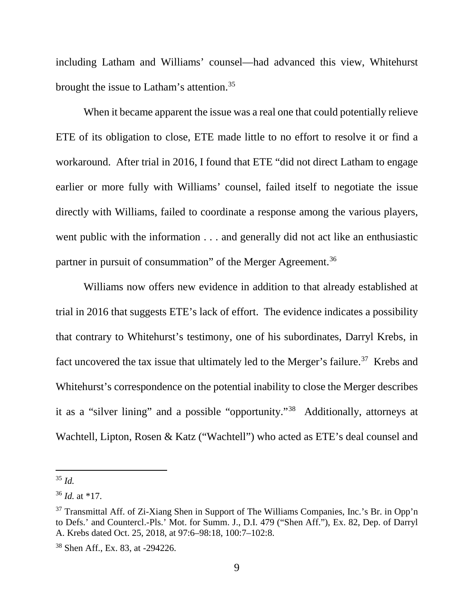including Latham and Williams' counsel—had advanced this view, Whitehurst brought the issue to Latham's attention.<sup>35</sup>

When it became apparent the issue was a real one that could potentially relieve ETE of its obligation to close, ETE made little to no effort to resolve it or find a workaround. After trial in 2016, I found that ETE "did not direct Latham to engage earlier or more fully with Williams' counsel, failed itself to negotiate the issue directly with Williams, failed to coordinate a response among the various players, went public with the information . . . and generally did not act like an enthusiastic partner in pursuit of consummation" of the Merger Agreement.<sup>36</sup>

Williams now offers new evidence in addition to that already established at trial in 2016 that suggests ETE's lack of effort. The evidence indicates a possibility that contrary to Whitehurst's testimony, one of his subordinates, Darryl Krebs, in fact uncovered the tax issue that ultimately led to the Merger's failure.<sup>37</sup> Krebs and Whitehurst's correspondence on the potential inability to close the Merger describes it as a "silver lining" and a possible "opportunity."38 Additionally, attorneys at Wachtell, Lipton, Rosen & Katz ("Wachtell") who acted as ETE's deal counsel and

 <sup>35</sup> *Id.*

<sup>36</sup> *Id.* at \*17.

<sup>&</sup>lt;sup>37</sup> Transmittal Aff. of Zi-Xiang Shen in Support of The Williams Companies, Inc.'s Br. in Opp'n to Defs.' and Countercl.-Pls.' Mot. for Summ. J., D.I. 479 ("Shen Aff."), Ex. 82, Dep. of Darryl A. Krebs dated Oct. 25, 2018, at 97:6–98:18, 100:7–102:8.

<sup>38</sup> Shen Aff., Ex. 83, at -294226.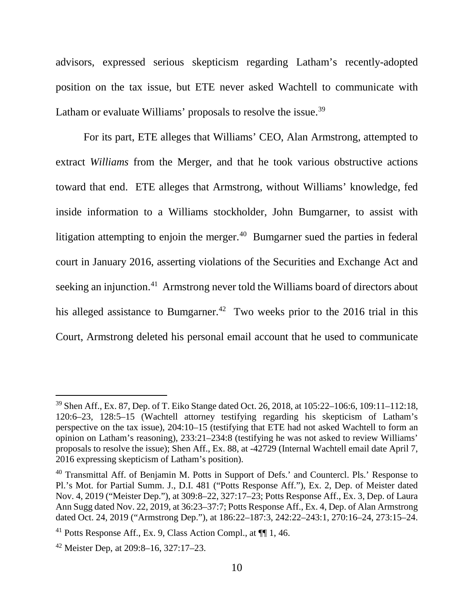advisors, expressed serious skepticism regarding Latham's recently-adopted position on the tax issue, but ETE never asked Wachtell to communicate with Latham or evaluate Williams' proposals to resolve the issue.<sup>39</sup>

For its part, ETE alleges that Williams' CEO, Alan Armstrong, attempted to extract *Williams* from the Merger, and that he took various obstructive actions toward that end. ETE alleges that Armstrong, without Williams' knowledge, fed inside information to a Williams stockholder, John Bumgarner, to assist with litigation attempting to enjoin the merger. $40$  Bumgarner sued the parties in federal court in January 2016, asserting violations of the Securities and Exchange Act and seeking an injunction.<sup>41</sup> Armstrong never told the Williams board of directors about his alleged assistance to Bumgarner.<sup>42</sup> Two weeks prior to the 2016 trial in this Court, Armstrong deleted his personal email account that he used to communicate

 <sup>39</sup> Shen Aff., Ex. 87, Dep. of T. Eiko Stange dated Oct. 26, 2018, at 105:22–106:6, 109:11–112:18, 120:6–23, 128:5–15 (Wachtell attorney testifying regarding his skepticism of Latham's perspective on the tax issue), 204:10–15 (testifying that ETE had not asked Wachtell to form an opinion on Latham's reasoning), 233:21–234:8 (testifying he was not asked to review Williams' proposals to resolve the issue); Shen Aff., Ex. 88, at -42729 (Internal Wachtell email date April 7, 2016 expressing skepticism of Latham's position).

 $40$  Transmittal Aff. of Benjamin M. Potts in Support of Defs.' and Countercl. Pls.' Response to Pl.'s Mot. for Partial Summ. J., D.I. 481 ("Potts Response Aff."), Ex. 2, Dep. of Meister dated Nov. 4, 2019 ("Meister Dep."), at 309:8–22, 327:17–23; Potts Response Aff., Ex. 3, Dep. of Laura Ann Sugg dated Nov. 22, 2019, at 36:23–37:7; Potts Response Aff., Ex. 4, Dep. of Alan Armstrong dated Oct. 24, 2019 ("Armstrong Dep."), at 186:22–187:3, 242:22–243:1, 270:16–24, 273:15–24.

<sup>&</sup>lt;sup>41</sup> Potts Response Aff., Ex. 9, Class Action Compl., at  $\P$  1, 46.

 $42$  Meister Dep, at 209:8-16, 327:17-23.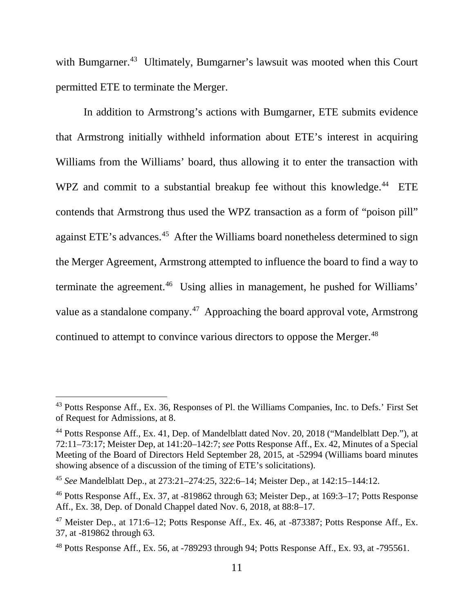with Bumgarner.<sup>43</sup> Ultimately, Bumgarner's lawsuit was mooted when this Court permitted ETE to terminate the Merger.

In addition to Armstrong's actions with Bumgarner, ETE submits evidence that Armstrong initially withheld information about ETE's interest in acquiring Williams from the Williams' board, thus allowing it to enter the transaction with WPZ and commit to a substantial breakup fee without this knowledge.<sup>44</sup> ETE contends that Armstrong thus used the WPZ transaction as a form of "poison pill" against ETE's advances.<sup>45</sup> After the Williams board nonetheless determined to sign the Merger Agreement, Armstrong attempted to influence the board to find a way to terminate the agreement. 46 Using allies in management, he pushed for Williams' value as a standalone company.<sup>47</sup> Approaching the board approval vote, Armstrong continued to attempt to convince various directors to oppose the Merger.<sup>48</sup>

<sup>&</sup>lt;sup>43</sup> Potts Response Aff., Ex. 36, Responses of Pl. the Williams Companies, Inc. to Defs.' First Set of Request for Admissions, at 8.

<sup>44</sup> Potts Response Aff., Ex. 41, Dep. of Mandelblatt dated Nov. 20, 2018 ("Mandelblatt Dep."), at 72:11–73:17; Meister Dep, at 141:20–142:7; *see* Potts Response Aff., Ex. 42, Minutes of a Special Meeting of the Board of Directors Held September 28, 2015, at -52994 (Williams board minutes showing absence of a discussion of the timing of ETE's solicitations).

<sup>45</sup> *See* Mandelblatt Dep., at 273:21–274:25, 322:6–14; Meister Dep., at 142:15–144:12.

<sup>46</sup> Potts Response Aff., Ex. 37, at -819862 through 63; Meister Dep., at 169:3–17; Potts Response Aff., Ex. 38, Dep. of Donald Chappel dated Nov. 6, 2018, at 88:8–17.

 $47$  Meister Dep., at 171:6–12; Potts Response Aff., Ex. 46, at  $-873387$ ; Potts Response Aff., Ex. 37, at -819862 through 63.

<sup>48</sup> Potts Response Aff., Ex. 56, at -789293 through 94; Potts Response Aff., Ex. 93, at -795561.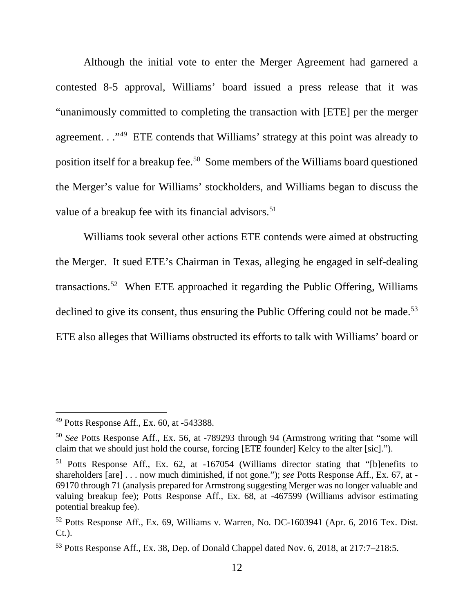Although the initial vote to enter the Merger Agreement had garnered a contested 8-5 approval, Williams' board issued a press release that it was "unanimously committed to completing the transaction with [ETE] per the merger agreement. . .<sup>49</sup> ETE contends that Williams' strategy at this point was already to position itself for a breakup fee.50 Some members of the Williams board questioned the Merger's value for Williams' stockholders, and Williams began to discuss the value of a breakup fee with its financial advisors.<sup>51</sup>

Williams took several other actions ETE contends were aimed at obstructing the Merger. It sued ETE's Chairman in Texas, alleging he engaged in self-dealing transactions. 52 When ETE approached it regarding the Public Offering, Williams declined to give its consent, thus ensuring the Public Offering could not be made.<sup>53</sup> ETE also alleges that Williams obstructed its efforts to talk with Williams' board or

 $49$  Potts Response Aff., Ex. 60, at  $-543388$ .

<sup>50</sup> *See* Potts Response Aff., Ex. 56, at -789293 through 94 (Armstrong writing that "some will claim that we should just hold the course, forcing [ETE founder] Kelcy to the alter [sic].").

<sup>51</sup> Potts Response Aff., Ex. 62, at -167054 (Williams director stating that "[b]enefits to shareholders [are] . . . now much diminished, if not gone."); *see* Potts Response Aff., Ex. 67, at - 69170 through 71 (analysis prepared for Armstrong suggesting Merger was no longer valuable and valuing breakup fee); Potts Response Aff., Ex. 68, at -467599 (Williams advisor estimating potential breakup fee).

<sup>52</sup> Potts Response Aff., Ex. 69, Williams v. Warren, No. DC-1603941 (Apr. 6, 2016 Tex. Dist. Ct.).

<sup>53</sup> Potts Response Aff., Ex. 38, Dep. of Donald Chappel dated Nov. 6, 2018, at 217:7–218:5.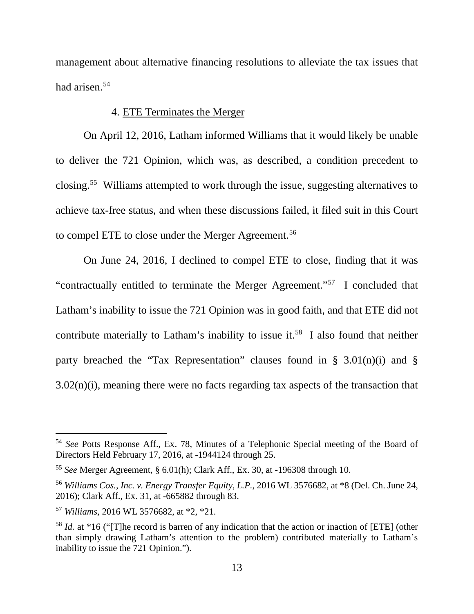management about alternative financing resolutions to alleviate the tax issues that had arisen. 54

### 4. ETE Terminates the Merger

On April 12, 2016, Latham informed Williams that it would likely be unable to deliver the 721 Opinion, which was, as described, a condition precedent to closing.55 Williams attempted to work through the issue, suggesting alternatives to achieve tax-free status, and when these discussions failed, it filed suit in this Court to compel ETE to close under the Merger Agreement.<sup>56</sup>

On June 24, 2016, I declined to compel ETE to close, finding that it was "contractually entitled to terminate the Merger Agreement."57 I concluded that Latham's inability to issue the 721 Opinion was in good faith, and that ETE did not contribute materially to Latham's inability to issue it.<sup>58</sup> I also found that neither party breached the "Tax Representation" clauses found in  $\S$  3.01(n)(i) and  $\S$ 3.02(n)(i), meaning there were no facts regarding tax aspects of the transaction that

 <sup>54</sup> *See* Potts Response Aff., Ex. 78, Minutes of a Telephonic Special meeting of the Board of Directors Held February 17, 2016, at -1944124 through 25.

<sup>55</sup> *See* Merger Agreement, § 6.01(h); Clark Aff., Ex. 30, at -196308 through 10.

<sup>56</sup> *Williams Cos., Inc. v. Energy Transfer Equity, L.P.*, 2016 WL 3576682, at \*8 (Del. Ch. June 24, 2016); Clark Aff., Ex. 31, at -665882 through 83.

<sup>57</sup> *Williams*, 2016 WL 3576682, at \*2, \*21.

<sup>58</sup> *Id.* at \*16 ("[T]he record is barren of any indication that the action or inaction of [ETE] (other than simply drawing Latham's attention to the problem) contributed materially to Latham's inability to issue the 721 Opinion.").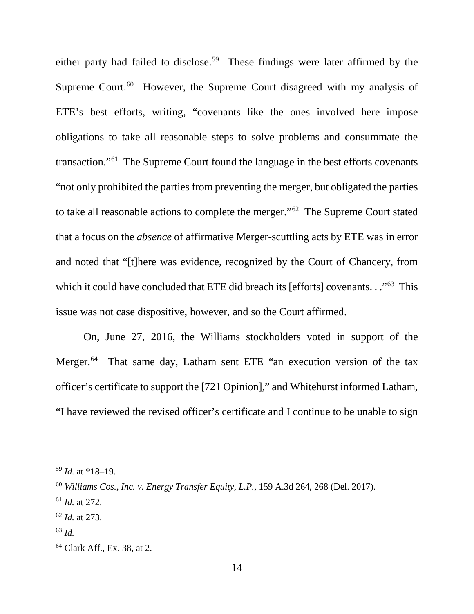either party had failed to disclose.<sup>59</sup> These findings were later affirmed by the Supreme Court. $60$  However, the Supreme Court disagreed with my analysis of ETE's best efforts, writing, "covenants like the ones involved here impose obligations to take all reasonable steps to solve problems and consummate the transaction."61 The Supreme Court found the language in the best efforts covenants "not only prohibited the parties from preventing the merger, but obligated the parties to take all reasonable actions to complete the merger."62 The Supreme Court stated that a focus on the *absence* of affirmative Merger-scuttling acts by ETE was in error and noted that "[t]here was evidence, recognized by the Court of Chancery, from which it could have concluded that ETE did breach its [efforts] covenants. . . "<sup>63</sup> This issue was not case dispositive, however, and so the Court affirmed.

On, June 27, 2016, the Williams stockholders voted in support of the Merger.<sup>64</sup> That same day, Latham sent ETE "an execution version of the tax officer's certificate to support the [721 Opinion]," and Whitehurst informed Latham, "I have reviewed the revised officer's certificate and I continue to be unable to sign

 <sup>59</sup> *Id.* at \*18–19.

<sup>60</sup> *Williams Cos., Inc. v. Energy Transfer Equity, L.P.*, 159 A.3d 264, 268 (Del. 2017).

<sup>61</sup> *Id.* at 272.

<sup>62</sup> *Id.* at 273.

<sup>63</sup> *Id.*

<sup>64</sup> Clark Aff., Ex. 38, at 2.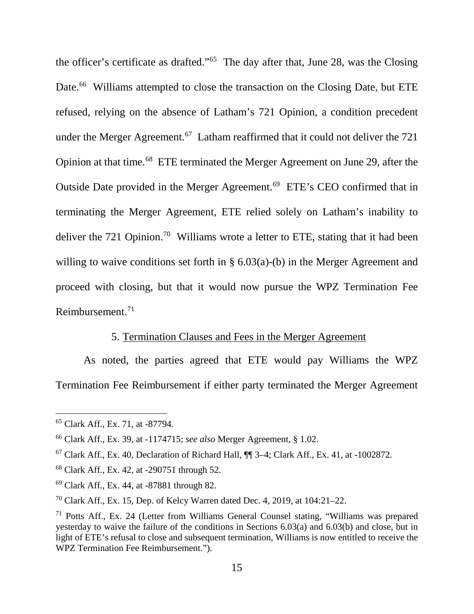the officer's certificate as drafted."65 The day after that, June 28, was the Closing Date.<sup>66</sup> Williams attempted to close the transaction on the Closing Date, but ETE refused, relying on the absence of Latham's 721 Opinion, a condition precedent under the Merger Agreement.<sup>67</sup> Latham reaffirmed that it could not deliver the 721 Opinion at that time.68 ETE terminated the Merger Agreement on June 29, after the Outside Date provided in the Merger Agreement. 69 ETE's CEO confirmed that in terminating the Merger Agreement, ETE relied solely on Latham's inability to deliver the 721 Opinion.<sup>70</sup> Williams wrote a letter to ETE, stating that it had been willing to waive conditions set forth in § 6.03(a)-(b) in the Merger Agreement and proceed with closing, but that it would now pursue the WPZ Termination Fee Reimbursement. 71

### 5. Termination Clauses and Fees in the Merger Agreement

As noted, the parties agreed that ETE would pay Williams the WPZ Termination Fee Reimbursement if either party terminated the Merger Agreement

 <sup>65</sup> Clark Aff., Ex. 71, at -87794.

<sup>66</sup> Clark Aff., Ex. 39, at -1174715; *see also* Merger Agreement, § 1.02.

 $67$  Clark Aff., Ex. 40, Declaration of Richard Hall,  $\P$  3–4; Clark Aff., Ex. 41, at -1002872.

<sup>68</sup> Clark Aff., Ex. 42, at -290751 through 52.

<sup>69</sup> Clark Aff., Ex. 44, at -87881 through 82.

<sup>&</sup>lt;sup>70</sup> Clark Aff., Ex. 15, Dep. of Kelcy Warren dated Dec. 4, 2019, at  $104:21-22$ .

<sup>71</sup> Potts Aff., Ex. 24 (Letter from Williams General Counsel stating, "Williams was prepared yesterday to waive the failure of the conditions in Sections 6.03(a) and 6.03(b) and close, but in light of ETE's refusal to close and subsequent termination, Williams is now entitled to receive the WPZ Termination Fee Reimbursement.").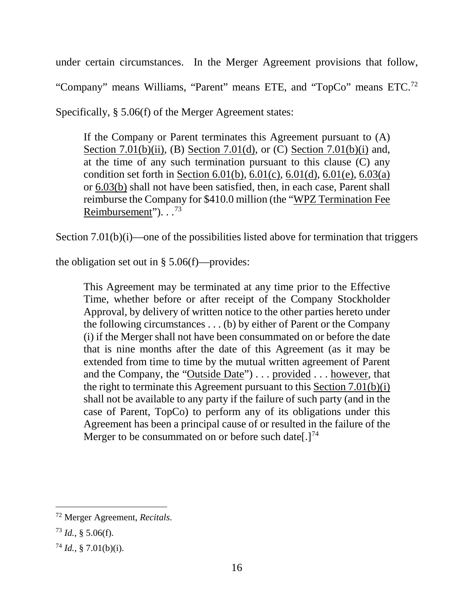under certain circumstances. In the Merger Agreement provisions that follow, "Company" means Williams, "Parent" means ETE, and "TopCo" means ETC.72 Specifically, § 5.06(f) of the Merger Agreement states:

If the Company or Parent terminates this Agreement pursuant to (A) Section 7.01(b)(ii), (B) Section 7.01(d), or (C) Section 7.01(b)(i) and, at the time of any such termination pursuant to this clause (C) any condition set forth in Section 6.01(b),  $6.01(c)$ ,  $6.01(d)$ ,  $6.01(e)$ ,  $6.03(a)$ or 6.03(b) shall not have been satisfied, then, in each case, Parent shall reimburse the Company for \$410.0 million (the "WPZ Termination Fee Reimbursement").  $\cdot$ .<sup>73</sup>

Section 7.01(b)(i)—one of the possibilities listed above for termination that triggers

the obligation set out in  $\S 5.06(f)$ —provides:

This Agreement may be terminated at any time prior to the Effective Time, whether before or after receipt of the Company Stockholder Approval, by delivery of written notice to the other parties hereto under the following circumstances . . . (b) by either of Parent or the Company (i) if the Merger shall not have been consummated on or before the date that is nine months after the date of this Agreement (as it may be extended from time to time by the mutual written agreement of Parent and the Company, the "Outside Date") . . . provided . . . however, that the right to terminate this Agreement pursuant to this Section 7.01(b)(i) shall not be available to any party if the failure of such party (and in the case of Parent, TopCo) to perform any of its obligations under this Agreement has been a principal cause of or resulted in the failure of the Merger to be consummated on or before such date[.]<sup>74</sup>

 <sup>72</sup> Merger Agreement, *Recitals*.

 $^{73}$  *Id.*, § 5.06(f).

 $^{74}$  *Id.*, § 7.01(b)(i).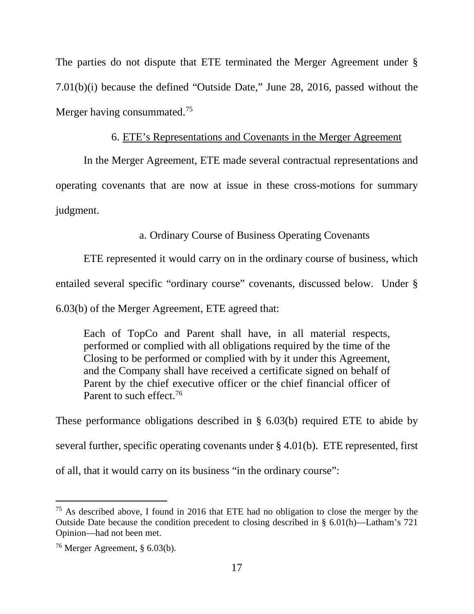The parties do not dispute that ETE terminated the Merger Agreement under § 7.01(b)(i) because the defined "Outside Date," June 28, 2016, passed without the Merger having consummated.<sup>75</sup>

### 6. ETE's Representations and Covenants in the Merger Agreement

In the Merger Agreement, ETE made several contractual representations and operating covenants that are now at issue in these cross-motions for summary judgment.

### a. Ordinary Course of Business Operating Covenants

ETE represented it would carry on in the ordinary course of business, which

entailed several specific "ordinary course" covenants, discussed below. Under §

6.03(b) of the Merger Agreement, ETE agreed that:

Each of TopCo and Parent shall have, in all material respects, performed or complied with all obligations required by the time of the Closing to be performed or complied with by it under this Agreement, and the Company shall have received a certificate signed on behalf of Parent by the chief executive officer or the chief financial officer of Parent to such effect.<sup>76</sup>

These performance obligations described in § 6.03(b) required ETE to abide by several further, specific operating covenants under § 4.01(b). ETE represented, first

of all, that it would carry on its business "in the ordinary course":

 $75$  As described above, I found in 2016 that ETE had no obligation to close the merger by the Outside Date because the condition precedent to closing described in § 6.01(h)—Latham's 721 Opinion—had not been met.

<sup>76</sup> Merger Agreement, § 6.03(b).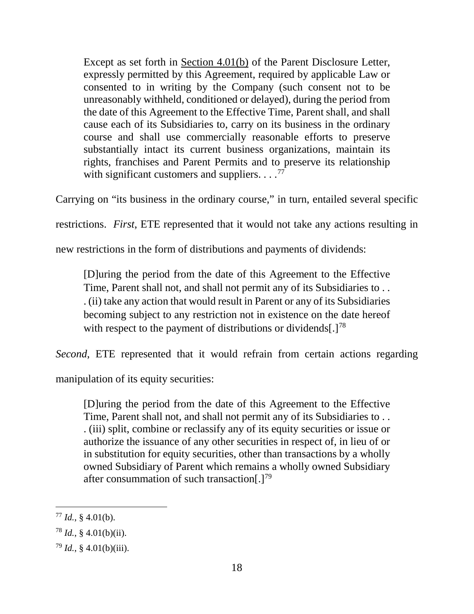Except as set forth in Section 4.01(b) of the Parent Disclosure Letter, expressly permitted by this Agreement, required by applicable Law or consented to in writing by the Company (such consent not to be unreasonably withheld, conditioned or delayed), during the period from the date of this Agreement to the Effective Time, Parent shall, and shall cause each of its Subsidiaries to, carry on its business in the ordinary course and shall use commercially reasonable efforts to preserve substantially intact its current business organizations, maintain its rights, franchises and Parent Permits and to preserve its relationship with significant customers and suppliers.  $\dots$ <sup>77</sup>

Carrying on "its business in the ordinary course," in turn, entailed several specific

restrictions. *First*, ETE represented that it would not take any actions resulting in

new restrictions in the form of distributions and payments of dividends:

[D]uring the period from the date of this Agreement to the Effective Time, Parent shall not, and shall not permit any of its Subsidiaries to . . . (ii) take any action that would result in Parent or any of its Subsidiaries becoming subject to any restriction not in existence on the date hereof with respect to the payment of distributions or dividends[.]<sup>78</sup>

*Second*, ETE represented that it would refrain from certain actions regarding

manipulation of its equity securities:

[D]uring the period from the date of this Agreement to the Effective Time, Parent shall not, and shall not permit any of its Subsidiaries to . . . (iii) split, combine or reclassify any of its equity securities or issue or authorize the issuance of any other securities in respect of, in lieu of or in substitution for equity securities, other than transactions by a wholly owned Subsidiary of Parent which remains a wholly owned Subsidiary after consummation of such transaction[.]<sup>79</sup>

 $77$  *Id.*, § 4.01(b).

 $^{78}$  *Id.*, § 4.01(b)(ii).

 $79$  *Id.*, § 4.01(b)(iii).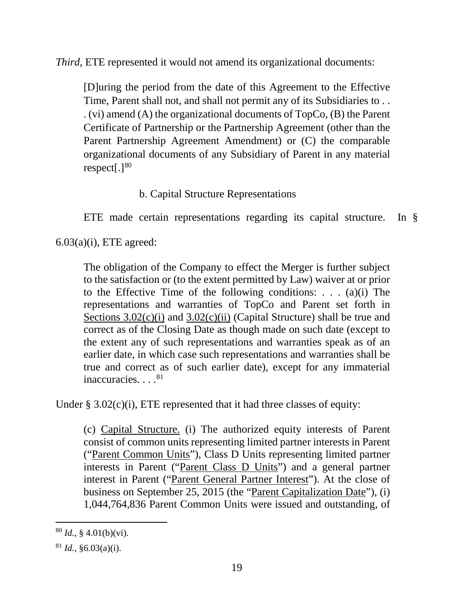*Third*, ETE represented it would not amend its organizational documents:

[D]uring the period from the date of this Agreement to the Effective Time, Parent shall not, and shall not permit any of its Subsidiaries to . . . (vi) amend (A) the organizational documents of TopCo, (B) the Parent Certificate of Partnership or the Partnership Agreement (other than the Parent Partnership Agreement Amendment) or (C) the comparable organizational documents of any Subsidiary of Parent in any material respect $[.]^{80}$ 

## b. Capital Structure Representations

ETE made certain representations regarding its capital structure. In §

 $6.03(a)(i)$ , ETE agreed:

The obligation of the Company to effect the Merger is further subject to the satisfaction or (to the extent permitted by Law) waiver at or prior to the Effective Time of the following conditions: . . . (a)(i) The representations and warranties of TopCo and Parent set forth in Sections  $3.02(c)(i)$  and  $3.02(c)(ii)$  (Capital Structure) shall be true and correct as of the Closing Date as though made on such date (except to the extent any of such representations and warranties speak as of an earlier date, in which case such representations and warranties shall be true and correct as of such earlier date), except for any immaterial inaccuracies. . . . <sup>81</sup>

Under  $\S 3.02(c)(i)$ , ETE represented that it had three classes of equity:

(c) Capital Structure. (i) The authorized equity interests of Parent consist of common units representing limited partner interests in Parent ("Parent Common Units"), Class D Units representing limited partner interests in Parent ("Parent Class D Units") and a general partner interest in Parent ("Parent General Partner Interest"). At the close of business on September 25, 2015 (the "Parent Capitalization Date"), (i) 1,044,764,836 Parent Common Units were issued and outstanding, of

 $^{80}$  *Id.*, § 4.01(b)(vi).

 $81$  *Id.*,  $§6.03(a)(i)$ .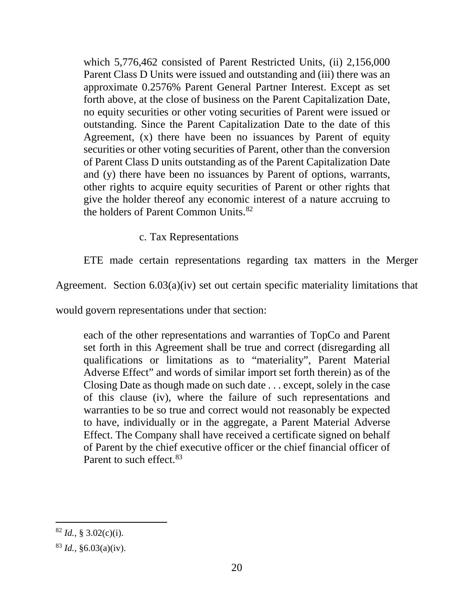which 5,776,462 consisted of Parent Restricted Units, (ii) 2,156,000 Parent Class D Units were issued and outstanding and (iii) there was an approximate 0.2576% Parent General Partner Interest. Except as set forth above, at the close of business on the Parent Capitalization Date, no equity securities or other voting securities of Parent were issued or outstanding. Since the Parent Capitalization Date to the date of this Agreement, (x) there have been no issuances by Parent of equity securities or other voting securities of Parent, other than the conversion of Parent Class D units outstanding as of the Parent Capitalization Date and (y) there have been no issuances by Parent of options, warrants, other rights to acquire equity securities of Parent or other rights that give the holder thereof any economic interest of a nature accruing to the holders of Parent Common Units.<sup>82</sup>

c. Tax Representations

ETE made certain representations regarding tax matters in the Merger

Agreement. Section 6.03(a)(iv) set out certain specific materiality limitations that

would govern representations under that section:

each of the other representations and warranties of TopCo and Parent set forth in this Agreement shall be true and correct (disregarding all qualifications or limitations as to "materiality", Parent Material Adverse Effect" and words of similar import set forth therein) as of the Closing Date as though made on such date . . . except, solely in the case of this clause (iv), where the failure of such representations and warranties to be so true and correct would not reasonably be expected to have, individually or in the aggregate, a Parent Material Adverse Effect. The Company shall have received a certificate signed on behalf of Parent by the chief executive officer or the chief financial officer of Parent to such effect.<sup>83</sup>

 $^{82}$  *Id.*, § 3.02(c)(i).

 $83$  *Id.*,  $§6.03(a)(iv)$ .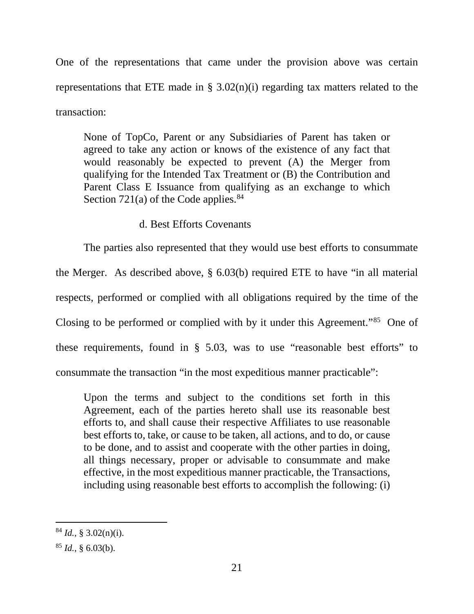One of the representations that came under the provision above was certain representations that ETE made in  $\S$  3.02(n)(i) regarding tax matters related to the transaction:

None of TopCo, Parent or any Subsidiaries of Parent has taken or agreed to take any action or knows of the existence of any fact that would reasonably be expected to prevent (A) the Merger from qualifying for the Intended Tax Treatment or (B) the Contribution and Parent Class E Issuance from qualifying as an exchange to which Section 721(a) of the Code applies.<sup>84</sup>

### d. Best Efforts Covenants

The parties also represented that they would use best efforts to consummate the Merger. As described above, § 6.03(b) required ETE to have "in all material respects, performed or complied with all obligations required by the time of the Closing to be performed or complied with by it under this Agreement."85 One of these requirements, found in § 5.03, was to use "reasonable best efforts" to consummate the transaction "in the most expeditious manner practicable":

Upon the terms and subject to the conditions set forth in this Agreement, each of the parties hereto shall use its reasonable best efforts to, and shall cause their respective Affiliates to use reasonable best efforts to, take, or cause to be taken, all actions, and to do, or cause to be done, and to assist and cooperate with the other parties in doing, all things necessary, proper or advisable to consummate and make effective, in the most expeditious manner practicable, the Transactions, including using reasonable best efforts to accomplish the following: (i)

 $^{84}$  *Id.*, § 3.02(n)(i).

 $^{85}$  *Id.*, § 6.03(b).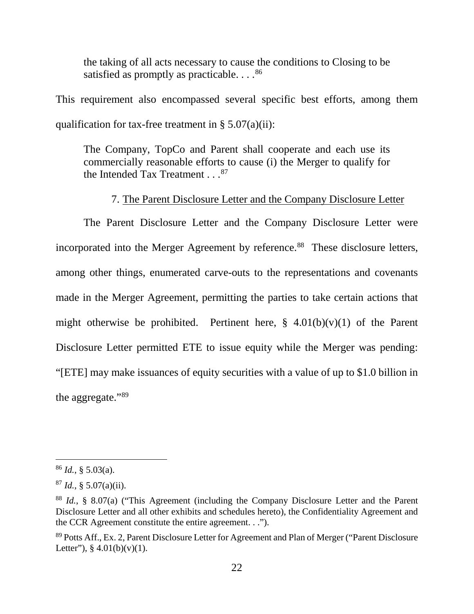the taking of all acts necessary to cause the conditions to Closing to be satisfied as promptly as practicable.  $\ldots$ <sup>86</sup>

This requirement also encompassed several specific best efforts, among them qualification for tax-free treatment in  $\S 5.07(a)(ii)$ :

The Company, TopCo and Parent shall cooperate and each use its commercially reasonable efforts to cause (i) the Merger to qualify for the Intended Tax Treatment . . . 87

### 7. The Parent Disclosure Letter and the Company Disclosure Letter

The Parent Disclosure Letter and the Company Disclosure Letter were incorporated into the Merger Agreement by reference.<sup>88</sup> These disclosure letters, among other things, enumerated carve-outs to the representations and covenants made in the Merger Agreement, permitting the parties to take certain actions that might otherwise be prohibited. Pertinent here,  $\S$  4.01(b)(v)(1) of the Parent Disclosure Letter permitted ETE to issue equity while the Merger was pending: "[ETE] may make issuances of equity securities with a value of up to \$1.0 billion in the aggregate."89

 $^{86}$  *Id.*, § 5.03(a).

 $^{87}$  *Id.*, § 5.07(a)(ii).

<sup>88</sup> *Id.*, § 8.07(a) ("This Agreement (including the Company Disclosure Letter and the Parent Disclosure Letter and all other exhibits and schedules hereto), the Confidentiality Agreement and the CCR Agreement constitute the entire agreement. . .").

<sup>&</sup>lt;sup>89</sup> Potts Aff., Ex. 2, Parent Disclosure Letter for Agreement and Plan of Merger ("Parent Disclosure") Letter"),  $§$  4.01(b)(v)(1).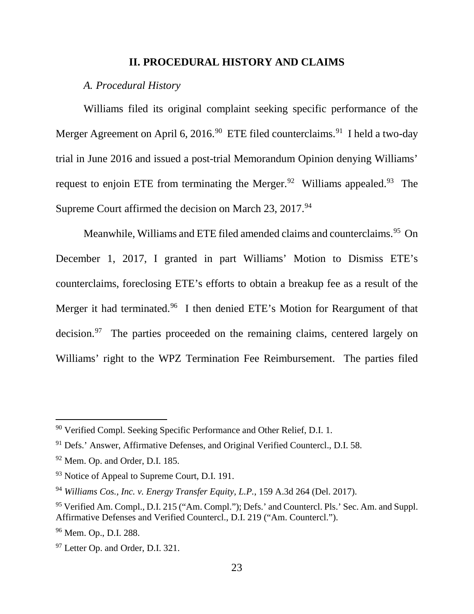#### **II. PROCEDURAL HISTORY AND CLAIMS**

#### *A. Procedural History*

Williams filed its original complaint seeking specific performance of the Merger Agreement on April 6, 2016.<sup>90</sup> ETE filed counterclaims.<sup>91</sup> I held a two-day trial in June 2016 and issued a post-trial Memorandum Opinion denying Williams' request to enjoin ETE from terminating the Merger.<sup>92</sup> Williams appealed.<sup>93</sup> The Supreme Court affirmed the decision on March 23, 2017.<sup>94</sup>

Meanwhile, Williams and ETE filed amended claims and counterclaims.<sup>95</sup> On December 1, 2017, I granted in part Williams' Motion to Dismiss ETE's counterclaims, foreclosing ETE's efforts to obtain a breakup fee as a result of the Merger it had terminated.<sup>96</sup> I then denied ETE's Motion for Reargument of that decision.<sup>97</sup> The parties proceeded on the remaining claims, centered largely on Williams' right to the WPZ Termination Fee Reimbursement. The parties filed

 <sup>90</sup> Verified Compl. Seeking Specific Performance and Other Relief, D.I. 1.

<sup>91</sup> Defs.' Answer, Affirmative Defenses, and Original Verified Countercl., D.I. 58.

<sup>92</sup> Mem. Op. and Order, D.I. 185.

<sup>&</sup>lt;sup>93</sup> Notice of Appeal to Supreme Court, D.I. 191.

<sup>94</sup> *Williams Cos., Inc. v. Energy Transfer Equity, L.P.*, 159 A.3d 264 (Del. 2017).

<sup>95</sup> Verified Am. Compl., D.I. 215 ("Am. Compl."); Defs.' and Countercl. Pls.' Sec. Am. and Suppl. Affirmative Defenses and Verified Countercl., D.I. 219 ("Am. Countercl.").

<sup>&</sup>lt;sup>96</sup> Mem. Op., D.I. 288.

<sup>&</sup>lt;sup>97</sup> Letter Op. and Order, D.I. 321.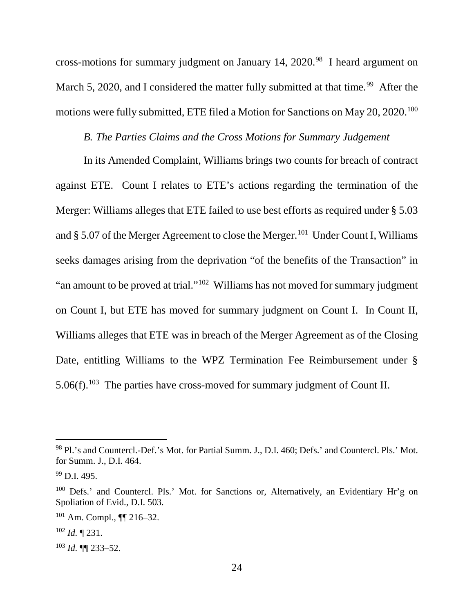cross-motions for summary judgment on January 14, 2020.<sup>98</sup> I heard argument on March 5, 2020, and I considered the matter fully submitted at that time.<sup>99</sup> After the motions were fully submitted, ETE filed a Motion for Sanctions on May 20, 2020.<sup>100</sup>

### *B. The Parties Claims and the Cross Motions for Summary Judgement*

In its Amended Complaint, Williams brings two counts for breach of contract against ETE. Count I relates to ETE's actions regarding the termination of the Merger: Williams alleges that ETE failed to use best efforts as required under § 5.03 and § 5.07 of the Merger Agreement to close the Merger.<sup>101</sup> Under Count I, Williams seeks damages arising from the deprivation "of the benefits of the Transaction" in "an amount to be proved at trial."102 Williams has not moved for summary judgment on Count I, but ETE has moved for summary judgment on Count I. In Count II, Williams alleges that ETE was in breach of the Merger Agreement as of the Closing Date, entitling Williams to the WPZ Termination Fee Reimbursement under § 5.06(f).<sup>103</sup> The parties have cross-moved for summary judgment of Count II.

<sup>98</sup> Pl.'s and Countercl.-Def.'s Mot. for Partial Summ. J., D.I. 460; Defs.' and Countercl. Pls.' Mot. for Summ. J., D.I. 464.

<sup>99</sup> D.I. 495.

<sup>&</sup>lt;sup>100</sup> Defs.' and Countercl. Pls.' Mot. for Sanctions or, Alternatively, an Evidentiary Hr'g on Spoliation of Evid., D.I. 503.

<sup>101</sup> Am. Compl., ¶¶ 216–32.

 $102$  *Id.* 1231.

<sup>103</sup> *Id.* ¶¶ 233–52.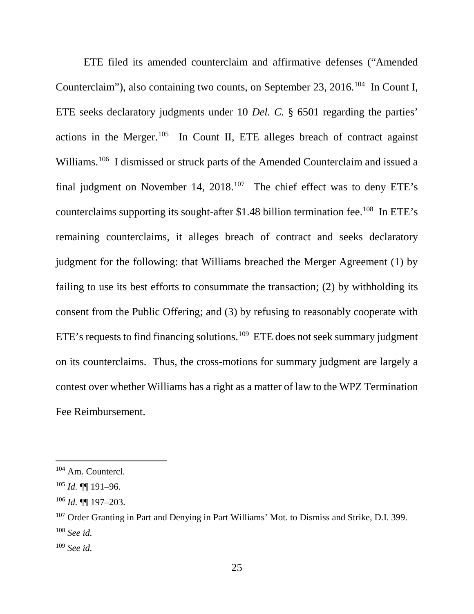ETE filed its amended counterclaim and affirmative defenses ("Amended Counterclaim"), also containing two counts, on September 23, 2016.<sup>104</sup> In Count I, ETE seeks declaratory judgments under 10 *Del. C.* § 6501 regarding the parties' actions in the Merger.<sup>105</sup> In Count II, ETE alleges breach of contract against Williams.106 I dismissed or struck parts of the Amended Counterclaim and issued a final judgment on November 14, 2018.<sup>107</sup> The chief effect was to deny ETE's counterclaims supporting its sought-after \$1.48 billion termination fee.<sup>108</sup> In ETE's remaining counterclaims, it alleges breach of contract and seeks declaratory judgment for the following: that Williams breached the Merger Agreement (1) by failing to use its best efforts to consummate the transaction; (2) by withholding its consent from the Public Offering; and (3) by refusing to reasonably cooperate with ETE's requests to find financing solutions.<sup>109</sup> ETE does not seek summary judgment on its counterclaims. Thus, the cross-motions for summary judgment are largely a contest over whether Williams has a right as a matter of law to the WPZ Termination Fee Reimbursement.

 <sup>104</sup> Am. Countercl.

<sup>105</sup> *Id.* ¶¶ 191–96.

<sup>106</sup> *Id.* ¶¶ 197–203.

<sup>&</sup>lt;sup>107</sup> Order Granting in Part and Denying in Part Williams' Mot. to Dismiss and Strike, D.I. 399. <sup>108</sup> *See id.*

<sup>109</sup> *See id.*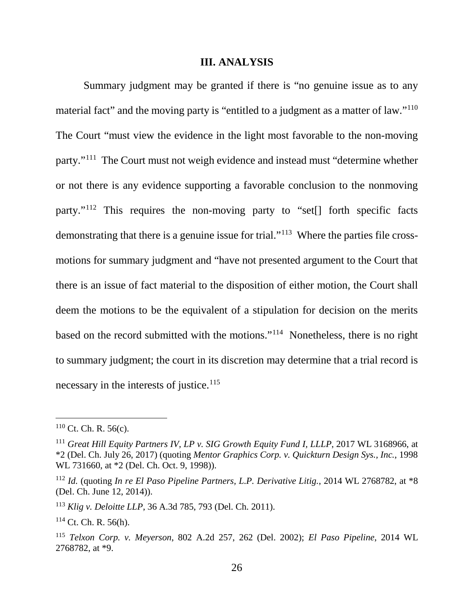#### **III. ANALYSIS**

Summary judgment may be granted if there is "no genuine issue as to any material fact" and the moving party is "entitled to a judgment as a matter of law."<sup>110</sup> The Court "must view the evidence in the light most favorable to the non-moving party."111 The Court must not weigh evidence and instead must "determine whether or not there is any evidence supporting a favorable conclusion to the nonmoving party."112 This requires the non-moving party to "set[] forth specific facts demonstrating that there is a genuine issue for trial."<sup>113</sup> Where the parties file crossmotions for summary judgment and "have not presented argument to the Court that there is an issue of fact material to the disposition of either motion, the Court shall deem the motions to be the equivalent of a stipulation for decision on the merits based on the record submitted with the motions."114 Nonetheless, there is no right to summary judgment; the court in its discretion may determine that a trial record is necessary in the interests of justice. $115$ 

 $110$  Ct. Ch. R. 56(c).

<sup>111</sup> *Great Hill Equity Partners IV, LP v. SIG Growth Equity Fund I, LLLP*, 2017 WL 3168966, at \*2 (Del. Ch. July 26, 2017) (quoting *Mentor Graphics Corp. v. Quickturn Design Sys., Inc.*, 1998 WL 731660, at \*2 (Del. Ch. Oct. 9, 1998)).

<sup>112</sup> *Id.* (quoting *In re El Paso Pipeline Partners, L.P. Derivative Litig.*, 2014 WL 2768782, at \*8 (Del. Ch. June 12, 2014)).

<sup>113</sup> *Klig v. Deloitte LLP*, 36 A.3d 785, 793 (Del. Ch. 2011).

 $114$  Ct. Ch. R. 56(h).

<sup>115</sup> *Telxon Corp. v. Meyerson*, 802 A.2d 257, 262 (Del. 2002); *El Paso Pipeline*, 2014 WL 2768782, at \*9.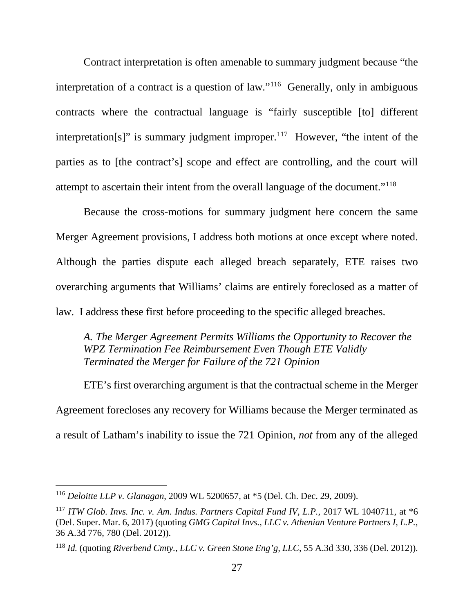Contract interpretation is often amenable to summary judgment because "the interpretation of a contract is a question of law."<sup>116</sup> Generally, only in ambiguous contracts where the contractual language is "fairly susceptible [to] different interpretation[s]" is summary judgment improper.<sup>117</sup> However, "the intent of the parties as to [the contract's] scope and effect are controlling, and the court will attempt to ascertain their intent from the overall language of the document."118

Because the cross-motions for summary judgment here concern the same Merger Agreement provisions, I address both motions at once except where noted. Although the parties dispute each alleged breach separately, ETE raises two overarching arguments that Williams' claims are entirely foreclosed as a matter of law. I address these first before proceeding to the specific alleged breaches.

*A. The Merger Agreement Permits Williams the Opportunity to Recover the WPZ Termination Fee Reimbursement Even Though ETE Validly Terminated the Merger for Failure of the 721 Opinion*

ETE's first overarching argument is that the contractual scheme in the Merger Agreement forecloses any recovery for Williams because the Merger terminated as a result of Latham's inability to issue the 721 Opinion, *not* from any of the alleged

 <sup>116</sup> *Deloitte LLP v. Glanagan*, 2009 WL 5200657, at \*5 (Del. Ch. Dec. 29, 2009).

<sup>117</sup> *ITW Glob. Invs. Inc. v. Am. Indus. Partners Capital Fund IV, L.P.*, 2017 WL 1040711, at \*6 (Del. Super. Mar. 6, 2017) (quoting *GMG Capital Invs., LLC v. Athenian Venture Partners I, L.P.*, 36 A.3d 776, 780 (Del. 2012)).

<sup>118</sup> *Id.* (quoting *Riverbend Cmty., LLC v. Green Stone Eng'g, LLC*, 55 A.3d 330, 336 (Del. 2012)).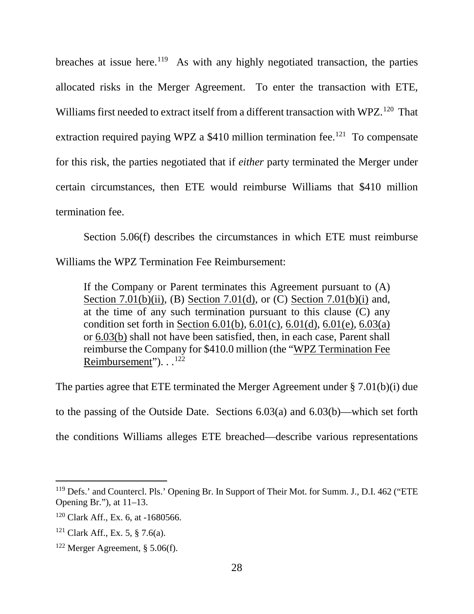breaches at issue here.<sup>119</sup> As with any highly negotiated transaction, the parties allocated risks in the Merger Agreement. To enter the transaction with ETE, Williams first needed to extract itself from a different transaction with WPZ.<sup>120</sup> That extraction required paying WPZ a  $$410$  million termination fee.<sup>121</sup> To compensate for this risk, the parties negotiated that if *either* party terminated the Merger under certain circumstances, then ETE would reimburse Williams that \$410 million termination fee.

Section 5.06(f) describes the circumstances in which ETE must reimburse Williams the WPZ Termination Fee Reimbursement:

If the Company or Parent terminates this Agreement pursuant to (A) Section 7.01(b)(ii), (B) Section 7.01(d), or (C) Section 7.01(b)(i) and, at the time of any such termination pursuant to this clause (C) any condition set forth in Section 6.01(b), 6.01(c), 6.01(d), 6.01(e), 6.03(a) or 6.03(b) shall not have been satisfied, then, in each case, Parent shall reimburse the Company for \$410.0 million (the "WPZ Termination Fee Reimbursement"). . .122

The parties agree that ETE terminated the Merger Agreement under § 7.01(b)(i) due to the passing of the Outside Date. Sections 6.03(a) and 6.03(b)—which set forth the conditions Williams alleges ETE breached—describe various representations

<sup>&</sup>lt;sup>119</sup> Defs.' and Countercl. Pls.' Opening Br. In Support of Their Mot. for Summ. J., D.I. 462 ("ETE Opening Br."), at 11–13.

<sup>120</sup> Clark Aff., Ex. 6, at -1680566.

<sup>&</sup>lt;sup>121</sup> Clark Aff., Ex. 5, § 7.6(a).

<sup>&</sup>lt;sup>122</sup> Merger Agreement, § 5.06(f).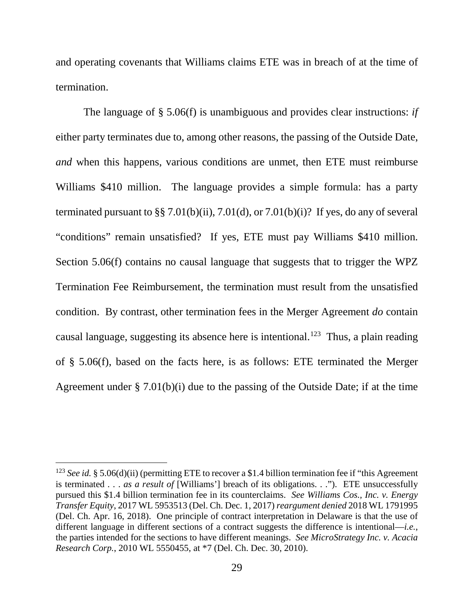and operating covenants that Williams claims ETE was in breach of at the time of termination.

The language of § 5.06(f) is unambiguous and provides clear instructions: *if* either party terminates due to, among other reasons, the passing of the Outside Date, *and* when this happens, various conditions are unmet, then ETE must reimburse Williams \$410 million. The language provides a simple formula: has a party terminated pursuant to  $\S$   $\S$   $7.01(b)(ii)$ ,  $7.01(d)$ , or  $7.01(b)(i)$ ? If yes, do any of several "conditions" remain unsatisfied? If yes, ETE must pay Williams \$410 million. Section 5.06(f) contains no causal language that suggests that to trigger the WPZ Termination Fee Reimbursement, the termination must result from the unsatisfied condition. By contrast, other termination fees in the Merger Agreement *do* contain causal language, suggesting its absence here is intentional.<sup>123</sup> Thus, a plain reading of § 5.06(f), based on the facts here, is as follows: ETE terminated the Merger Agreement under § 7.01(b)(i) due to the passing of the Outside Date; if at the time

 <sup>123</sup> *See id.* § 5.06(d)(ii) (permitting ETE to recover a \$1.4 billion termination fee if "this Agreement is terminated . . . *as a result of* [Williams'] breach of its obligations. . ."). ETE unsuccessfully pursued this \$1.4 billion termination fee in its counterclaims. *See Williams Cos., Inc. v. Energy Transfer Equity*, 2017 WL 5953513 (Del. Ch. Dec. 1, 2017) *reargument denied* 2018 WL 1791995 (Del. Ch. Apr. 16, 2018). One principle of contract interpretation in Delaware is that the use of different language in different sections of a contract suggests the difference is intentional—*i.e.*, the parties intended for the sections to have different meanings. *See MicroStrategy Inc. v. Acacia Research Corp.*, 2010 WL 5550455, at \*7 (Del. Ch. Dec. 30, 2010).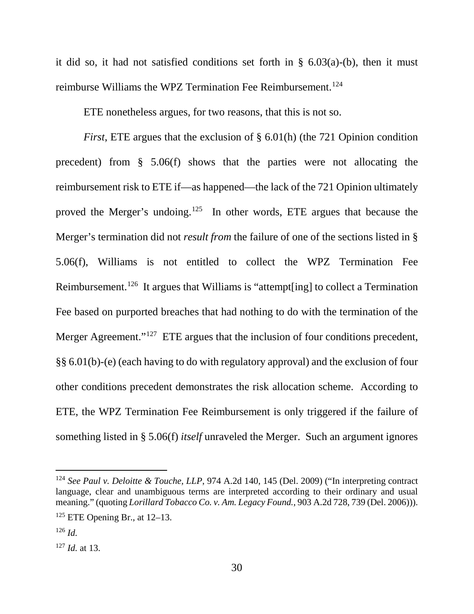it did so, it had not satisfied conditions set forth in  $\S$  6.03(a)-(b), then it must reimburse Williams the WPZ Termination Fee Reimbursement.<sup>124</sup>

ETE nonetheless argues, for two reasons, that this is not so.

*First*, ETE argues that the exclusion of § 6.01(h) (the 721 Opinion condition precedent) from § 5.06(f) shows that the parties were not allocating the reimbursement risk to ETE if—as happened—the lack of the 721 Opinion ultimately proved the Merger's undoing.<sup>125</sup> In other words, ETE argues that because the Merger's termination did not *result from* the failure of one of the sections listed in § 5.06(f), Williams is not entitled to collect the WPZ Termination Fee Reimbursement.<sup>126</sup> It argues that Williams is "attempt[ing] to collect a Termination Fee based on purported breaches that had nothing to do with the termination of the Merger Agreement."<sup>127</sup> ETE argues that the inclusion of four conditions precedent, §§ 6.01(b)-(e) (each having to do with regulatory approval) and the exclusion of four other conditions precedent demonstrates the risk allocation scheme. According to ETE, the WPZ Termination Fee Reimbursement is only triggered if the failure of something listed in § 5.06(f) *itself* unraveled the Merger. Such an argument ignores

 <sup>124</sup> *See Paul v. Deloitte & Touche, LLP*, 974 A.2d 140, 145 (Del. 2009) ("In interpreting contract language, clear and unambiguous terms are interpreted according to their ordinary and usual meaning." (quoting *Lorillard Tobacco Co. v. Am. Legacy Found.*, 903 A.2d 728, 739 (Del. 2006))).

 $125$  ETE Opening Br., at 12–13.

<sup>126</sup> *Id.*

<sup>127</sup> *Id.* at 13.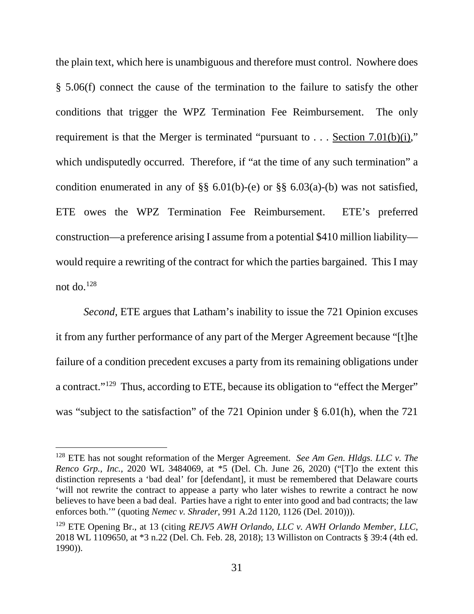the plain text, which here is unambiguous and therefore must control. Nowhere does § 5.06(f) connect the cause of the termination to the failure to satisfy the other conditions that trigger the WPZ Termination Fee Reimbursement. The only requirement is that the Merger is terminated "pursuant to . . . Section 7.01(b)(i)," which undisputedly occurred. Therefore, if "at the time of any such termination" a condition enumerated in any of  $\S\S 6.01(b)$ -(e) or  $\S \ \ 6.03(a)$ -(b) was not satisfied, ETE owes the WPZ Termination Fee Reimbursement. ETE's preferred construction—a preference arising I assume from a potential \$410 million liability would require a rewriting of the contract for which the parties bargained. This I may not do. $128$ 

*Second*, ETE argues that Latham's inability to issue the 721 Opinion excuses it from any further performance of any part of the Merger Agreement because "[t]he failure of a condition precedent excuses a party from its remaining obligations under a contract."129 Thus, according to ETE, because its obligation to "effect the Merger" was "subject to the satisfaction" of the 721 Opinion under § 6.01(h), when the 721

 <sup>128</sup> ETE has not sought reformation of the Merger Agreement. *See Am Gen. Hldgs. LLC v. The Renco Grp., Inc.*, 2020 WL 3484069, at \*5 (Del. Ch. June 26, 2020) ("[T]o the extent this distinction represents a 'bad deal' for [defendant], it must be remembered that Delaware courts 'will not rewrite the contract to appease a party who later wishes to rewrite a contract he now believes to have been a bad deal. Parties have a right to enter into good and bad contracts; the law enforces both.'" (quoting *Nemec v. Shrader*, 991 A.2d 1120, 1126 (Del. 2010))).

<sup>129</sup> ETE Opening Br., at 13 (citing *REJV5 AWH Orlando, LLC v. AWH Orlando Member, LLC*, 2018 WL 1109650, at \*3 n.22 (Del. Ch. Feb. 28, 2018); 13 Williston on Contracts § 39:4 (4th ed. 1990)).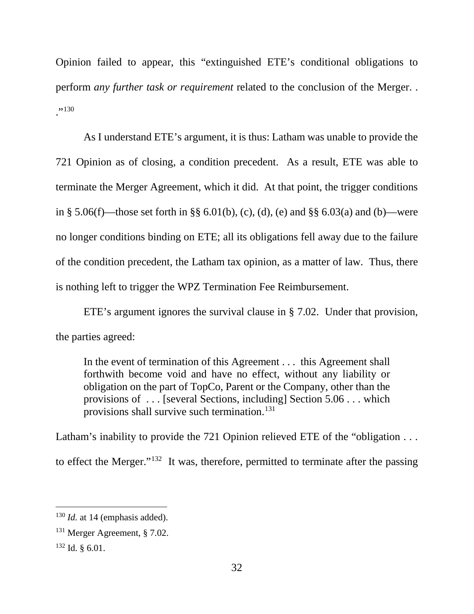Opinion failed to appear, this "extinguished ETE's conditional obligations to perform *any further task or requirement* related to the conclusion of the Merger. . ,,130

As I understand ETE's argument, it is thus: Latham was unable to provide the 721 Opinion as of closing, a condition precedent. As a result, ETE was able to terminate the Merger Agreement, which it did. At that point, the trigger conditions in § 5.06(f)—those set forth in §§ 6.01(b), (c), (d), (e) and §§ 6.03(a) and (b)—were no longer conditions binding on ETE; all its obligations fell away due to the failure of the condition precedent, the Latham tax opinion, as a matter of law. Thus, there is nothing left to trigger the WPZ Termination Fee Reimbursement.

ETE's argument ignores the survival clause in § 7.02. Under that provision, the parties agreed:

In the event of termination of this Agreement . . . this Agreement shall forthwith become void and have no effect, without any liability or obligation on the part of TopCo, Parent or the Company, other than the provisions of . . . [several Sections, including] Section 5.06 . . . which provisions shall survive such termination.131

Latham's inability to provide the 721 Opinion relieved ETE of the "obligation . . . to effect the Merger."132 It was, therefore, permitted to terminate after the passing

<sup>&</sup>lt;sup>130</sup> *Id.* at 14 (emphasis added).

<sup>131</sup> Merger Agreement, § 7.02.

 $132$  Id.  $\& 6.01$ .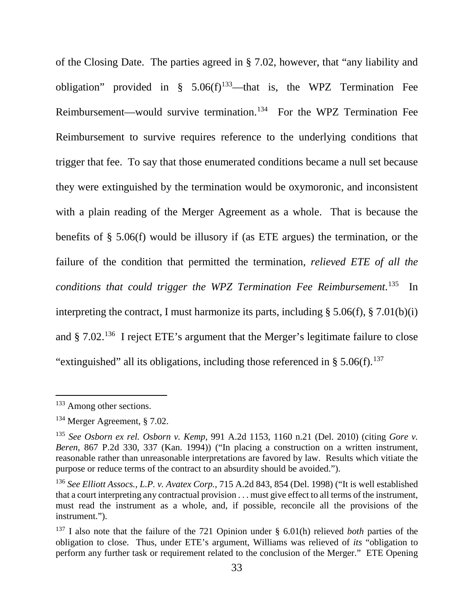of the Closing Date. The parties agreed in § 7.02, however, that "any liability and obligation" provided in  $\frac{8}{5}$  5.06(f)<sup>133</sup>—that is, the WPZ Termination Fee Reimbursement—would survive termination.134 For the WPZ Termination Fee Reimbursement to survive requires reference to the underlying conditions that trigger that fee. To say that those enumerated conditions became a null set because they were extinguished by the termination would be oxymoronic, and inconsistent with a plain reading of the Merger Agreement as a whole. That is because the benefits of § 5.06(f) would be illusory if (as ETE argues) the termination, or the failure of the condition that permitted the termination, *relieved ETE of all the conditions that could trigger the WPZ Termination Fee Reimbursement*. 135 In interpreting the contract, I must harmonize its parts, including § 5.06(f), § 7.01(b)(i) and § 7.02.136 I reject ETE's argument that the Merger's legitimate failure to close "extinguished" all its obligations, including those referenced in  $\S 5.06(f).$ <sup>137</sup>

 <sup>133</sup> Among other sections.

<sup>134</sup> Merger Agreement, § 7.02.

<sup>135</sup> *See Osborn ex rel. Osborn v. Kemp*, 991 A.2d 1153, 1160 n.21 (Del. 2010) (citing *Gore v. Beren*, 867 P.2d 330, 337 (Kan. 1994)) ("In placing a construction on a written instrument, reasonable rather than unreasonable interpretations are favored by law. Results which vitiate the purpose or reduce terms of the contract to an absurdity should be avoided.").

<sup>136</sup> *See Elliott Assocs., L.P. v. Avatex Corp.*, 715 A.2d 843, 854 (Del. 1998) ("It is well established that a court interpreting any contractual provision . . . must give effect to all terms of the instrument, must read the instrument as a whole, and, if possible, reconcile all the provisions of the instrument.").

<sup>137</sup> I also note that the failure of the 721 Opinion under § 6.01(h) relieved *both* parties of the obligation to close. Thus, under ETE's argument, Williams was relieved of *its* "obligation to perform any further task or requirement related to the conclusion of the Merger." ETE Opening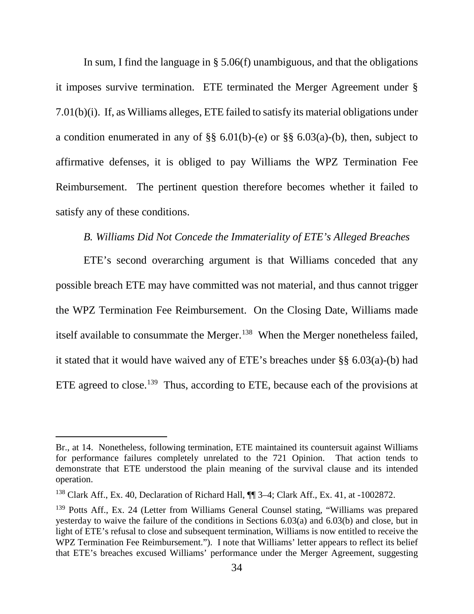In sum, I find the language in § 5.06(f) unambiguous, and that the obligations it imposes survive termination. ETE terminated the Merger Agreement under § 7.01(b)(i). If, as Williams alleges, ETE failed to satisfy its material obligations under a condition enumerated in any of  $\S$ § 6.01(b)-(e) or §§ 6.03(a)-(b), then, subject to affirmative defenses, it is obliged to pay Williams the WPZ Termination Fee Reimbursement. The pertinent question therefore becomes whether it failed to satisfy any of these conditions.

### *B. Williams Did Not Concede the Immateriality of ETE's Alleged Breaches*

ETE's second overarching argument is that Williams conceded that any possible breach ETE may have committed was not material, and thus cannot trigger the WPZ Termination Fee Reimbursement. On the Closing Date, Williams made itself available to consummate the Merger.<sup>138</sup> When the Merger nonetheless failed, it stated that it would have waived any of ETE's breaches under §§ 6.03(a)-(b) had ETE agreed to close.<sup>139</sup> Thus, according to ETE, because each of the provisions at

 $\overline{a}$ 

Br., at 14. Nonetheless, following termination, ETE maintained its countersuit against Williams for performance failures completely unrelated to the 721 Opinion. That action tends to demonstrate that ETE understood the plain meaning of the survival clause and its intended operation.

<sup>&</sup>lt;sup>138</sup> Clark Aff., Ex. 40, Declaration of Richard Hall,  $\P$  3–4; Clark Aff., Ex. 41, at -1002872.

<sup>&</sup>lt;sup>139</sup> Potts Aff., Ex. 24 (Letter from Williams General Counsel stating, "Williams was prepared yesterday to waive the failure of the conditions in Sections 6.03(a) and 6.03(b) and close, but in light of ETE's refusal to close and subsequent termination, Williams is now entitled to receive the WPZ Termination Fee Reimbursement."). I note that Williams' letter appears to reflect its belief that ETE's breaches excused Williams' performance under the Merger Agreement, suggesting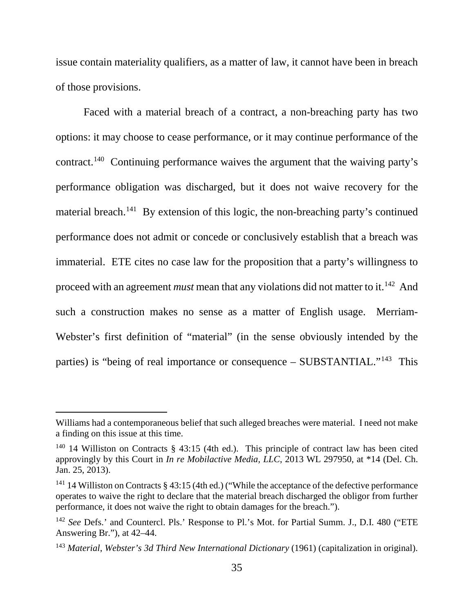issue contain materiality qualifiers, as a matter of law, it cannot have been in breach of those provisions.

Faced with a material breach of a contract, a non-breaching party has two options: it may choose to cease performance, or it may continue performance of the contract.140 Continuing performance waives the argument that the waiving party's performance obligation was discharged, but it does not waive recovery for the material breach.<sup>141</sup> By extension of this logic, the non-breaching party's continued performance does not admit or concede or conclusively establish that a breach was immaterial. ETE cites no case law for the proposition that a party's willingness to proceed with an agreement *must* mean that any violations did not matter to it.<sup>142</sup> And such a construction makes no sense as a matter of English usage. Merriam-Webster's first definition of "material" (in the sense obviously intended by the parties) is "being of real importance or consequence – SUBSTANTIAL."143 This

 $\overline{a}$ 

Williams had a contemporaneous belief that such alleged breaches were material. I need not make a finding on this issue at this time.

<sup>&</sup>lt;sup>140</sup> 14 Williston on Contracts § 43:15 (4th ed.). This principle of contract law has been cited approvingly by this Court in *In re Mobilactive Media, LLC*, 2013 WL 297950, at \*14 (Del. Ch. Jan. 25, 2013).

<sup>&</sup>lt;sup>141</sup> 14 Williston on Contracts § 43:15 (4th ed.) ("While the acceptance of the defective performance operates to waive the right to declare that the material breach discharged the obligor from further performance, it does not waive the right to obtain damages for the breach.").

<sup>&</sup>lt;sup>142</sup> See Defs.' and Countercl. Pls.' Response to Pl.'s Mot. for Partial Summ. J., D.I. 480 ("ETE Answering Br."), at 42–44.

<sup>143</sup> *Material*, *Webster's 3d Third New International Dictionary* (1961) (capitalization in original).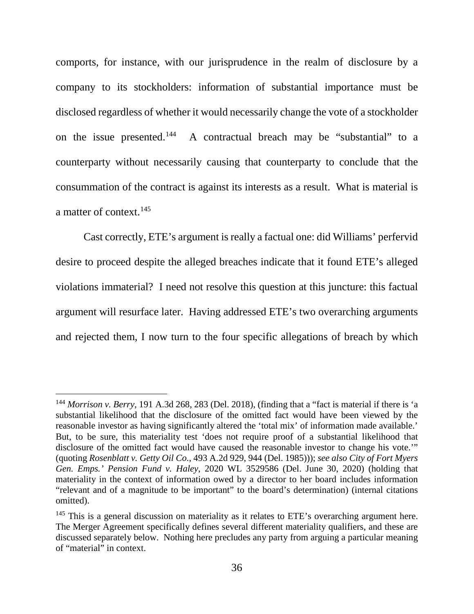comports, for instance, with our jurisprudence in the realm of disclosure by a company to its stockholders: information of substantial importance must be disclosed regardless of whether it would necessarily change the vote of a stockholder on the issue presented.144 A contractual breach may be "substantial" to a counterparty without necessarily causing that counterparty to conclude that the consummation of the contract is against its interests as a result. What is material is a matter of context.<sup>145</sup>

Cast correctly, ETE's argument is really a factual one: did Williams' perfervid desire to proceed despite the alleged breaches indicate that it found ETE's alleged violations immaterial? I need not resolve this question at this juncture: this factual argument will resurface later. Having addressed ETE's two overarching arguments and rejected them, I now turn to the four specific allegations of breach by which

 <sup>144</sup> *Morrison v. Berry*, 191 A.3d 268, 283 (Del. 2018), (finding that a "fact is material if there is 'a substantial likelihood that the disclosure of the omitted fact would have been viewed by the reasonable investor as having significantly altered the 'total mix' of information made available.' But, to be sure, this materiality test 'does not require proof of a substantial likelihood that disclosure of the omitted fact would have caused the reasonable investor to change his vote.'" (quoting *Rosenblatt v. Getty Oil Co.*, 493 A.2d 929, 944 (Del. 1985))); *see also City of Fort Myers Gen. Emps.' Pension Fund v. Haley*, 2020 WL 3529586 (Del. June 30, 2020) (holding that materiality in the context of information owed by a director to her board includes information "relevant and of a magnitude to be important" to the board's determination) (internal citations omitted).

<sup>&</sup>lt;sup>145</sup> This is a general discussion on materiality as it relates to ETE's overarching argument here. The Merger Agreement specifically defines several different materiality qualifiers, and these are discussed separately below. Nothing here precludes any party from arguing a particular meaning of "material" in context.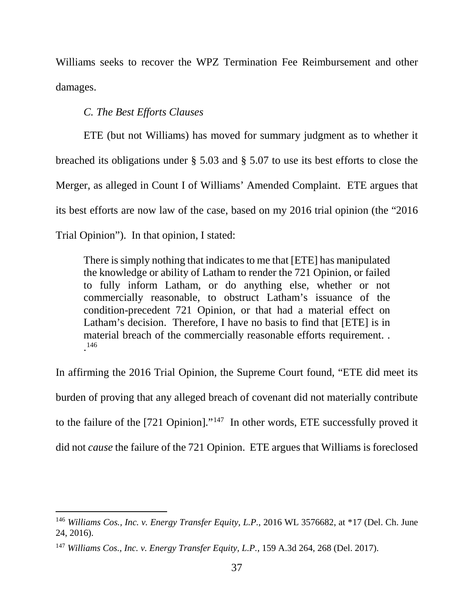Williams seeks to recover the WPZ Termination Fee Reimbursement and other damages.

*C. The Best Efforts Clauses*

ETE (but not Williams) has moved for summary judgment as to whether it breached its obligations under § 5.03 and § 5.07 to use its best efforts to close the Merger, as alleged in Count I of Williams' Amended Complaint. ETE argues that its best efforts are now law of the case, based on my 2016 trial opinion (the "2016 Trial Opinion"). In that opinion, I stated:

There is simply nothing that indicates to me that [ETE] has manipulated the knowledge or ability of Latham to render the 721 Opinion, or failed to fully inform Latham, or do anything else, whether or not commercially reasonable, to obstruct Latham's issuance of the condition-precedent 721 Opinion, or that had a material effect on Latham's decision. Therefore, I have no basis to find that [ETE] is in material breach of the commercially reasonable efforts requirement. . . 146

In affirming the 2016 Trial Opinion, the Supreme Court found, "ETE did meet its burden of proving that any alleged breach of covenant did not materially contribute to the failure of the [721 Opinion]."147 In other words, ETE successfully proved it did not *cause* the failure of the 721 Opinion. ETE argues that Williams is foreclosed

 <sup>146</sup> *Williams Cos., Inc. v. Energy Transfer Equity, L.P.*, 2016 WL 3576682, at \*17 (Del. Ch. June 24, 2016).

<sup>147</sup> *Williams Cos., Inc. v. Energy Transfer Equity, L.P.*, 159 A.3d 264, 268 (Del. 2017).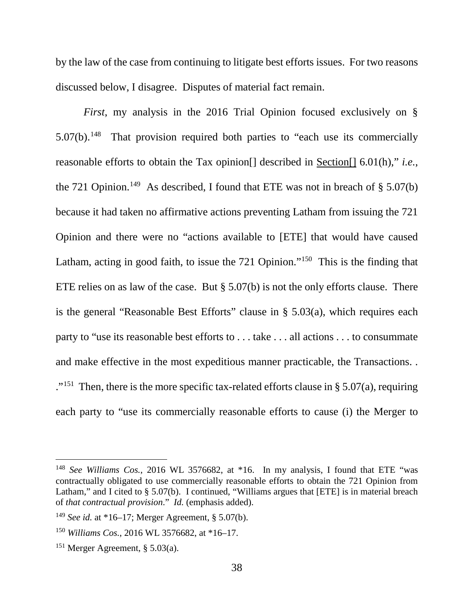by the law of the case from continuing to litigate best efforts issues. For two reasons discussed below, I disagree. Disputes of material fact remain.

*First*, my analysis in the 2016 Trial Opinion focused exclusively on § 5.07(b).<sup>148</sup> That provision required both parties to "each use its commercially reasonable efforts to obtain the Tax opinion[] described in Section[] 6.01(h)," *i.e.*, the 721 Opinion.<sup>149</sup> As described, I found that ETE was not in breach of  $\S$  5.07(b) because it had taken no affirmative actions preventing Latham from issuing the 721 Opinion and there were no "actions available to [ETE] that would have caused Latham, acting in good faith, to issue the 721 Opinion."<sup>150</sup> This is the finding that ETE relies on as law of the case. But  $\S 5.07(b)$  is not the only efforts clause. There is the general "Reasonable Best Efforts" clause in  $\S$  5.03(a), which requires each party to "use its reasonable best efforts to . . . take . . . all actions . . . to consummate and make effective in the most expeditious manner practicable, the Transactions. . ."<sup>151</sup> Then, there is the more specific tax-related efforts clause in § 5.07(a), requiring each party to "use its commercially reasonable efforts to cause (i) the Merger to

 <sup>148</sup> *See Williams Cos.*, 2016 WL 3576682, at \*16. In my analysis, I found that ETE "was contractually obligated to use commercially reasonable efforts to obtain the 721 Opinion from Latham," and I cited to § 5.07(b). I continued, "Williams argues that [ETE] is in material breach of *that contractual provision*." *Id.* (emphasis added).

<sup>149</sup> *See id.* at \*16–17; Merger Agreement, § 5.07(b).

<sup>150</sup> *Williams Cos.*, 2016 WL 3576682, at \*16–17.

<sup>&</sup>lt;sup>151</sup> Merger Agreement,  $\S 5.03(a)$ .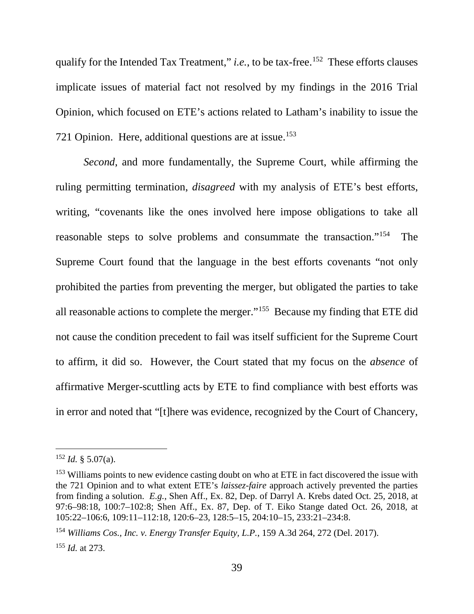qualify for the Intended Tax Treatment," *i.e.*, to be tax-free.<sup>152</sup> These efforts clauses implicate issues of material fact not resolved by my findings in the 2016 Trial Opinion, which focused on ETE's actions related to Latham's inability to issue the 721 Opinion. Here, additional questions are at issue.<sup>153</sup>

*Second*, and more fundamentally, the Supreme Court, while affirming the ruling permitting termination, *disagreed* with my analysis of ETE's best efforts, writing, "covenants like the ones involved here impose obligations to take all reasonable steps to solve problems and consummate the transaction."154 The Supreme Court found that the language in the best efforts covenants "not only prohibited the parties from preventing the merger, but obligated the parties to take all reasonable actions to complete the merger."155 Because my finding that ETE did not cause the condition precedent to fail was itself sufficient for the Supreme Court to affirm, it did so. However, the Court stated that my focus on the *absence* of affirmative Merger-scuttling acts by ETE to find compliance with best efforts was in error and noted that "[t]here was evidence, recognized by the Court of Chancery,

 $^{152}$  *Id.* § 5.07(a).

<sup>&</sup>lt;sup>153</sup> Williams points to new evidence casting doubt on who at ETE in fact discovered the issue with the 721 Opinion and to what extent ETE's *laissez-faire* approach actively prevented the parties from finding a solution. *E.g.*, Shen Aff., Ex. 82, Dep. of Darryl A. Krebs dated Oct. 25, 2018, at 97:6–98:18, 100:7–102:8; Shen Aff., Ex. 87, Dep. of T. Eiko Stange dated Oct. 26, 2018, at 105:22–106:6, 109:11–112:18, 120:6–23, 128:5–15, 204:10–15, 233:21–234:8.

<sup>154</sup> *Williams Cos., Inc. v. Energy Transfer Equity, L.P.*, 159 A.3d 264, 272 (Del. 2017). <sup>155</sup> *Id.* at 273.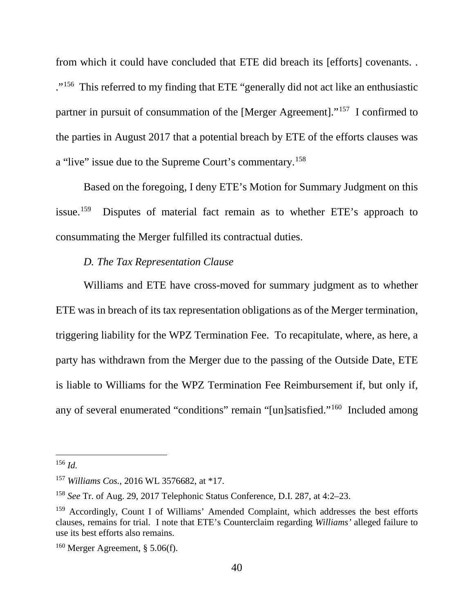from which it could have concluded that ETE did breach its [efforts] covenants. . ."156 This referred to my finding that ETE "generally did not act like an enthusiastic partner in pursuit of consummation of the [Merger Agreement]."157 I confirmed to the parties in August 2017 that a potential breach by ETE of the efforts clauses was a "live" issue due to the Supreme Court's commentary.158

Based on the foregoing, I deny ETE's Motion for Summary Judgment on this issue.159 Disputes of material fact remain as to whether ETE's approach to consummating the Merger fulfilled its contractual duties.

### *D. The Tax Representation Clause*

Williams and ETE have cross-moved for summary judgment as to whether ETE was in breach of its tax representation obligations as of the Merger termination, triggering liability for the WPZ Termination Fee. To recapitulate, where, as here, a party has withdrawn from the Merger due to the passing of the Outside Date, ETE is liable to Williams for the WPZ Termination Fee Reimbursement if, but only if, any of several enumerated "conditions" remain "[un]satisfied."160 Included among

 <sup>156</sup> *Id.*

<sup>157</sup> *Williams Cos.*, 2016 WL 3576682, at \*17.

<sup>158</sup> *See* Tr. of Aug. 29, 2017 Telephonic Status Conference, D.I. 287, at 4:2–23.

<sup>&</sup>lt;sup>159</sup> Accordingly, Count I of Williams' Amended Complaint, which addresses the best efforts clauses, remains for trial. I note that ETE's Counterclaim regarding *Williams'* alleged failure to use its best efforts also remains.

 $160$  Merger Agreement, § 5.06(f).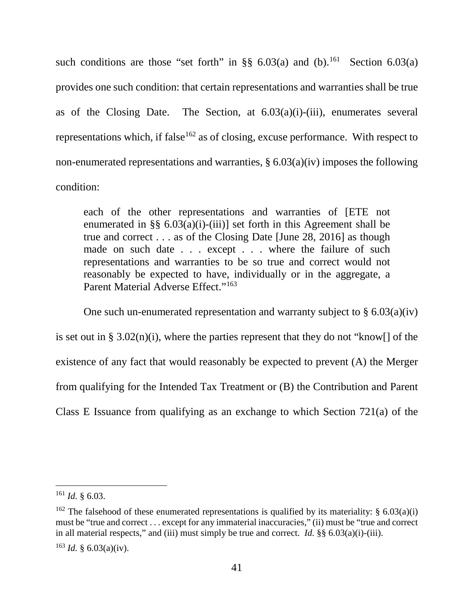such conditions are those "set forth" in  $\S$  6.03(a) and (b).<sup>161</sup> Section 6.03(a) provides one such condition: that certain representations and warranties shall be true as of the Closing Date. The Section, at  $6.03(a)(i)$ -(iii), enumerates several representations which, if false<sup>162</sup> as of closing, excuse performance. With respect to non-enumerated representations and warranties,  $\S 6.03(a)(iv)$  imposes the following condition:

each of the other representations and warranties of [ETE not enumerated in §§  $6.03(a)(i)-(iii)$ ] set forth in this Agreement shall be true and correct . . . as of the Closing Date [June 28, 2016] as though made on such date . . . except . . . where the failure of such representations and warranties to be so true and correct would not reasonably be expected to have, individually or in the aggregate, a Parent Material Adverse Effect."<sup>163</sup>

One such un-enumerated representation and warranty subject to  $\S 6.03(a)(iv)$ is set out in §  $3.02(n)(i)$ , where the parties represent that they do not "know. existence of any fact that would reasonably be expected to prevent (A) the Merger from qualifying for the Intended Tax Treatment or (B) the Contribution and Parent Class E Issuance from qualifying as an exchange to which Section 721(a) of the

 <sup>161</sup> *Id.* § 6.03.

<sup>&</sup>lt;sup>162</sup> The falsehood of these enumerated representations is qualified by its materiality: § 6.03(a)(i) must be "true and correct . . . except for any immaterial inaccuracies," (ii) must be "true and correct in all material respects," and (iii) must simply be true and correct. *Id.* §§ 6.03(a)(i)-(iii).

 $^{163}$  *Id.* § 6.03(a)(iv).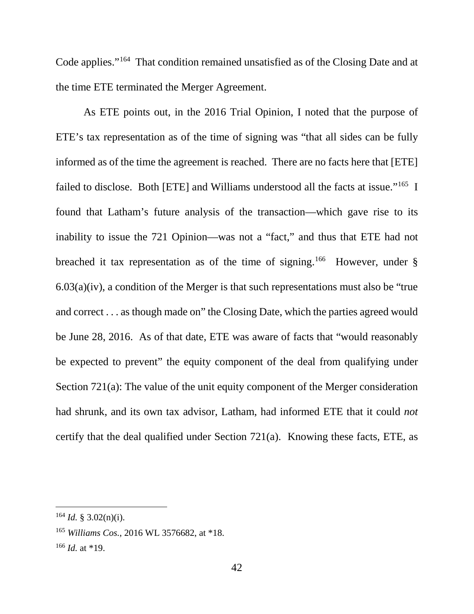Code applies."164 That condition remained unsatisfied as of the Closing Date and at the time ETE terminated the Merger Agreement.

As ETE points out, in the 2016 Trial Opinion, I noted that the purpose of ETE's tax representation as of the time of signing was "that all sides can be fully informed as of the time the agreement is reached. There are no facts here that [ETE] failed to disclose. Both [ETE] and Williams understood all the facts at issue."165 I found that Latham's future analysis of the transaction—which gave rise to its inability to issue the 721 Opinion—was not a "fact," and thus that ETE had not breached it tax representation as of the time of signing.<sup>166</sup> However, under  $\S$  $6.03(a)(iv)$ , a condition of the Merger is that such representations must also be "true" and correct . . . as though made on" the Closing Date, which the parties agreed would be June 28, 2016. As of that date, ETE was aware of facts that "would reasonably be expected to prevent" the equity component of the deal from qualifying under Section 721(a): The value of the unit equity component of the Merger consideration had shrunk, and its own tax advisor, Latham, had informed ETE that it could *not* certify that the deal qualified under Section 721(a). Knowing these facts, ETE, as

 $164$  *Id.* § 3.02(n)(i).

<sup>165</sup> *Williams Cos.*, 2016 WL 3576682, at \*18.

 $166$  *Id.* at \*19.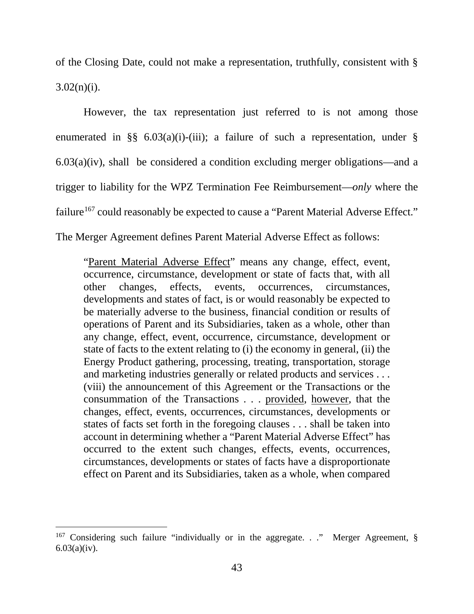of the Closing Date, could not make a representation, truthfully, consistent with §  $3.02(n)(i)$ .

However, the tax representation just referred to is not among those enumerated in §§  $6.03(a)(i)-(iii)$ ; a failure of such a representation, under § 6.03(a)(iv), shall be considered a condition excluding merger obligations—and a trigger to liability for the WPZ Termination Fee Reimbursement—*only* where the failure<sup>167</sup> could reasonably be expected to cause a "Parent Material Adverse Effect." The Merger Agreement defines Parent Material Adverse Effect as follows:

"Parent Material Adverse Effect" means any change, effect, event, occurrence, circumstance, development or state of facts that, with all other changes, effects, events, occurrences, circumstances, developments and states of fact, is or would reasonably be expected to be materially adverse to the business, financial condition or results of operations of Parent and its Subsidiaries, taken as a whole, other than any change, effect, event, occurrence, circumstance, development or state of facts to the extent relating to (i) the economy in general, (ii) the Energy Product gathering, processing, treating, transportation, storage and marketing industries generally or related products and services . . . (viii) the announcement of this Agreement or the Transactions or the consummation of the Transactions . . . provided, however, that the changes, effect, events, occurrences, circumstances, developments or states of facts set forth in the foregoing clauses . . . shall be taken into account in determining whether a "Parent Material Adverse Effect" has occurred to the extent such changes, effects, events, occurrences, circumstances, developments or states of facts have a disproportionate effect on Parent and its Subsidiaries, taken as a whole, when compared

<sup>&</sup>lt;sup>167</sup> Considering such failure "individually or in the aggregate. . ." Merger Agreement,  $\S$  $6.03(a)(iv)$ .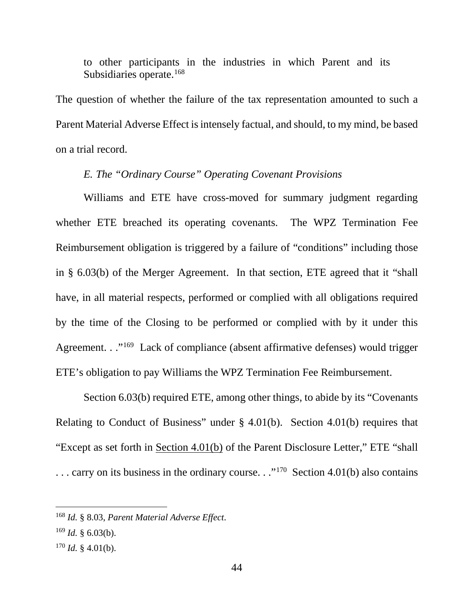to other participants in the industries in which Parent and its Subsidiaries operate.<sup>168</sup>

The question of whether the failure of the tax representation amounted to such a Parent Material Adverse Effect is intensely factual, and should, to my mind, be based on a trial record.

## *E. The "Ordinary Course" Operating Covenant Provisions*

Williams and ETE have cross-moved for summary judgment regarding whether ETE breached its operating covenants. The WPZ Termination Fee Reimbursement obligation is triggered by a failure of "conditions" including those in § 6.03(b) of the Merger Agreement. In that section, ETE agreed that it "shall have, in all material respects, performed or complied with all obligations required by the time of the Closing to be performed or complied with by it under this Agreement. . ."<sup>169</sup> Lack of compliance (absent affirmative defenses) would trigger ETE's obligation to pay Williams the WPZ Termination Fee Reimbursement.

Section 6.03(b) required ETE, among other things, to abide by its "Covenants Relating to Conduct of Business" under § 4.01(b). Section 4.01(b) requires that "Except as set forth in Section 4.01(b) of the Parent Disclosure Letter," ETE "shall ... carry on its business in the ordinary course..."<sup>170</sup> Section 4.01(b) also contains

 <sup>168</sup> *Id.* § 8.03, *Parent Material Adverse Effect*.

 $^{169}$  *Id.* § 6.03(b).

 $170$  *Id.* § 4.01(b).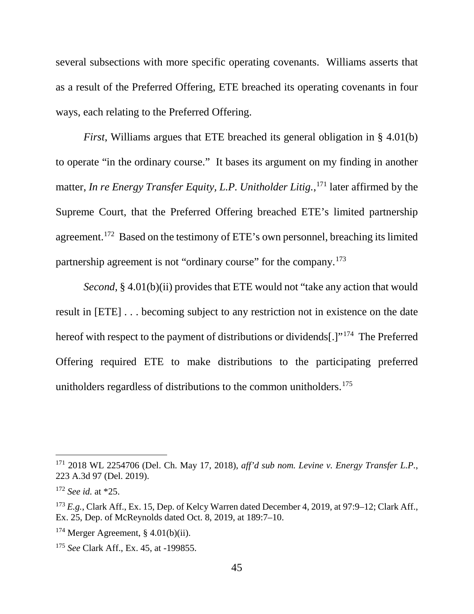several subsections with more specific operating covenants. Williams asserts that as a result of the Preferred Offering, ETE breached its operating covenants in four ways, each relating to the Preferred Offering.

*First*, Williams argues that ETE breached its general obligation in § 4.01(b) to operate "in the ordinary course." It bases its argument on my finding in another matter, *In re Energy Transfer Equity, L.P. Unitholder Litig.*, <sup>171</sup> later affirmed by the Supreme Court, that the Preferred Offering breached ETE's limited partnership agreement.<sup>172</sup> Based on the testimony of ETE's own personnel, breaching its limited partnership agreement is not "ordinary course" for the company.<sup>173</sup>

*Second*, § 4.01(b)(ii) provides that ETE would not "take any action that would result in [ETE] . . . becoming subject to any restriction not in existence on the date hereof with respect to the payment of distributions or dividends[.]"174 The Preferred Offering required ETE to make distributions to the participating preferred unitholders regardless of distributions to the common unitholders.<sup>175</sup>

 <sup>171</sup> 2018 WL 2254706 (Del. Ch. May 17, 2018), *aff'd sub nom. Levine v. Energy Transfer L.P.*, 223 A.3d 97 (Del. 2019).

<sup>172</sup> *See id.* at \*25.

<sup>&</sup>lt;sup>173</sup> E.g., Clark Aff., Ex. 15, Dep. of Kelcy Warren dated December 4, 2019, at 97:9–12; Clark Aff., Ex. 25, Dep. of McReynolds dated Oct. 8, 2019, at 189:7–10.

 $174$  Merger Agreement, § 4.01(b)(ii).

<sup>175</sup> *See* Clark Aff., Ex. 45, at -199855.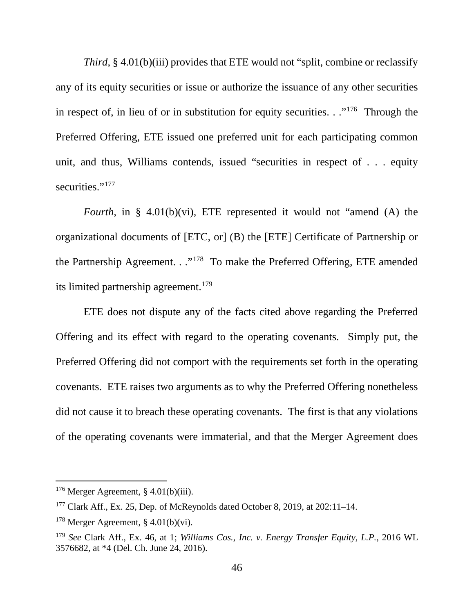*Third*, § 4.01(b)(iii) provides that ETE would not "split, combine or reclassify any of its equity securities or issue or authorize the issuance of any other securities in respect of, in lieu of or in substitution for equity securities.  $\cdot$  ."<sup>176</sup> Through the Preferred Offering, ETE issued one preferred unit for each participating common unit, and thus, Williams contends, issued "securities in respect of . . . equity securities."<sup>177</sup>

*Fourth*, in § 4.01(b)(vi), ETE represented it would not "amend (A) the organizational documents of [ETC, or] (B) the [ETE] Certificate of Partnership or the Partnership Agreement. . ."178 To make the Preferred Offering, ETE amended its limited partnership agreement.<sup>179</sup>

ETE does not dispute any of the facts cited above regarding the Preferred Offering and its effect with regard to the operating covenants. Simply put, the Preferred Offering did not comport with the requirements set forth in the operating covenants. ETE raises two arguments as to why the Preferred Offering nonetheless did not cause it to breach these operating covenants. The first is that any violations of the operating covenants were immaterial, and that the Merger Agreement does

 $176$  Merger Agreement, § 4.01(b)(iii).

<sup>177</sup> Clark Aff., Ex. 25, Dep. of McReynolds dated October 8, 2019, at 202:11–14.

 $178$  Merger Agreement, § 4.01(b)(vi).

<sup>179</sup> *See* Clark Aff., Ex. 46, at 1; *Williams Cos., Inc. v. Energy Transfer Equity, L.P.*, 2016 WL 3576682, at \*4 (Del. Ch. June 24, 2016).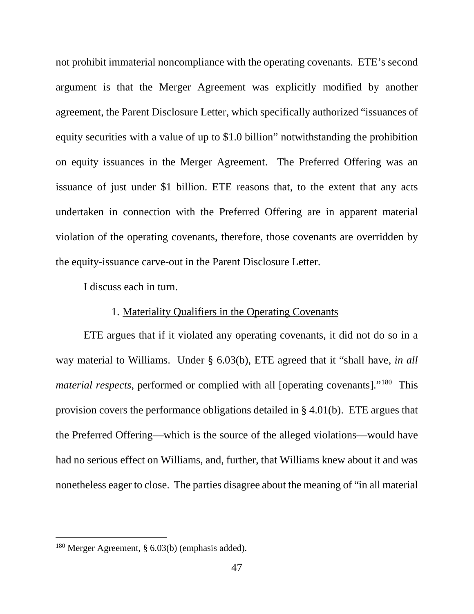not prohibit immaterial noncompliance with the operating covenants. ETE's second argument is that the Merger Agreement was explicitly modified by another agreement, the Parent Disclosure Letter, which specifically authorized "issuances of equity securities with a value of up to \$1.0 billion" notwithstanding the prohibition on equity issuances in the Merger Agreement. The Preferred Offering was an issuance of just under \$1 billion. ETE reasons that, to the extent that any acts undertaken in connection with the Preferred Offering are in apparent material violation of the operating covenants, therefore, those covenants are overridden by the equity-issuance carve-out in the Parent Disclosure Letter.

I discuss each in turn.

### 1. Materiality Qualifiers in the Operating Covenants

ETE argues that if it violated any operating covenants, it did not do so in a way material to Williams. Under § 6.03(b), ETE agreed that it "shall have, *in all material respects*, performed or complied with all [operating covenants]."<sup>180</sup> This provision covers the performance obligations detailed in § 4.01(b). ETE argues that the Preferred Offering—which is the source of the alleged violations—would have had no serious effect on Williams, and, further, that Williams knew about it and was nonetheless eager to close. The parties disagree about the meaning of "in all material

<sup>&</sup>lt;sup>180</sup> Merger Agreement, § 6.03(b) (emphasis added).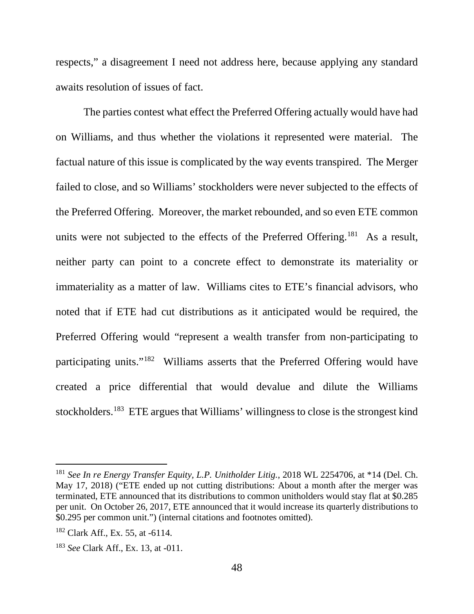respects," a disagreement I need not address here, because applying any standard awaits resolution of issues of fact.

The parties contest what effect the Preferred Offering actually would have had on Williams, and thus whether the violations it represented were material. The factual nature of this issue is complicated by the way events transpired. The Merger failed to close, and so Williams' stockholders were never subjected to the effects of the Preferred Offering. Moreover, the market rebounded, and so even ETE common units were not subjected to the effects of the Preferred Offering.<sup>181</sup> As a result, neither party can point to a concrete effect to demonstrate its materiality or immateriality as a matter of law. Williams cites to ETE's financial advisors, who noted that if ETE had cut distributions as it anticipated would be required, the Preferred Offering would "represent a wealth transfer from non-participating to participating units."182 Williams asserts that the Preferred Offering would have created a price differential that would devalue and dilute the Williams stockholders.183 ETE argues that Williams' willingness to close is the strongest kind

 <sup>181</sup> *See In re Energy Transfer Equity, L.P. Unitholder Litig.*, 2018 WL 2254706, at \*14 (Del. Ch. May 17, 2018) ("ETE ended up not cutting distributions: About a month after the merger was terminated, ETE announced that its distributions to common unitholders would stay flat at \$0.285 per unit. On October 26, 2017, ETE announced that it would increase its quarterly distributions to \$0.295 per common unit.") (internal citations and footnotes omitted).

 $182$  Clark Aff., Ex. 55, at -6114.

<sup>183</sup> *See* Clark Aff., Ex. 13, at -011.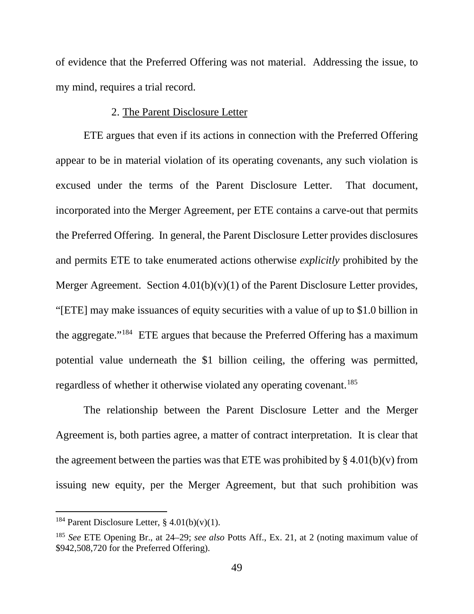of evidence that the Preferred Offering was not material. Addressing the issue, to my mind, requires a trial record.

#### 2. The Parent Disclosure Letter

ETE argues that even if its actions in connection with the Preferred Offering appear to be in material violation of its operating covenants, any such violation is excused under the terms of the Parent Disclosure Letter. That document, incorporated into the Merger Agreement, per ETE contains a carve-out that permits the Preferred Offering. In general, the Parent Disclosure Letter provides disclosures and permits ETE to take enumerated actions otherwise *explicitly* prohibited by the Merger Agreement. Section  $4.01(b)(v)(1)$  of the Parent Disclosure Letter provides, "[ETE] may make issuances of equity securities with a value of up to \$1.0 billion in the aggregate."184 ETE argues that because the Preferred Offering has a maximum potential value underneath the \$1 billion ceiling, the offering was permitted, regardless of whether it otherwise violated any operating covenant.<sup>185</sup>

The relationship between the Parent Disclosure Letter and the Merger Agreement is, both parties agree, a matter of contract interpretation. It is clear that the agreement between the parties was that ETE was prohibited by  $\S 4.01(b)(v)$  from issuing new equity, per the Merger Agreement, but that such prohibition was

<sup>&</sup>lt;sup>184</sup> Parent Disclosure Letter,  $§$  4.01(b)(v)(1).

<sup>185</sup> *See* ETE Opening Br., at 24–29; *see also* Potts Aff., Ex. 21, at 2 (noting maximum value of \$942,508,720 for the Preferred Offering).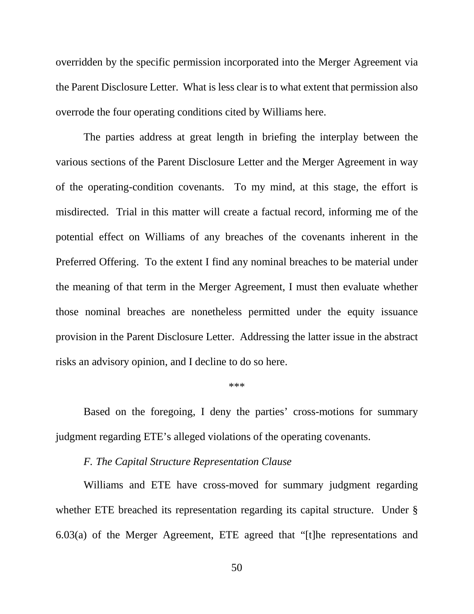overridden by the specific permission incorporated into the Merger Agreement via the Parent Disclosure Letter. What is less clear is to what extent that permission also overrode the four operating conditions cited by Williams here.

The parties address at great length in briefing the interplay between the various sections of the Parent Disclosure Letter and the Merger Agreement in way of the operating-condition covenants. To my mind, at this stage, the effort is misdirected. Trial in this matter will create a factual record, informing me of the potential effect on Williams of any breaches of the covenants inherent in the Preferred Offering. To the extent I find any nominal breaches to be material under the meaning of that term in the Merger Agreement, I must then evaluate whether those nominal breaches are nonetheless permitted under the equity issuance provision in the Parent Disclosure Letter. Addressing the latter issue in the abstract risks an advisory opinion, and I decline to do so here.

#### \*\*\*

Based on the foregoing, I deny the parties' cross-motions for summary judgment regarding ETE's alleged violations of the operating covenants.

#### *F. The Capital Structure Representation Clause*

Williams and ETE have cross-moved for summary judgment regarding whether ETE breached its representation regarding its capital structure. Under § 6.03(a) of the Merger Agreement, ETE agreed that "[t]he representations and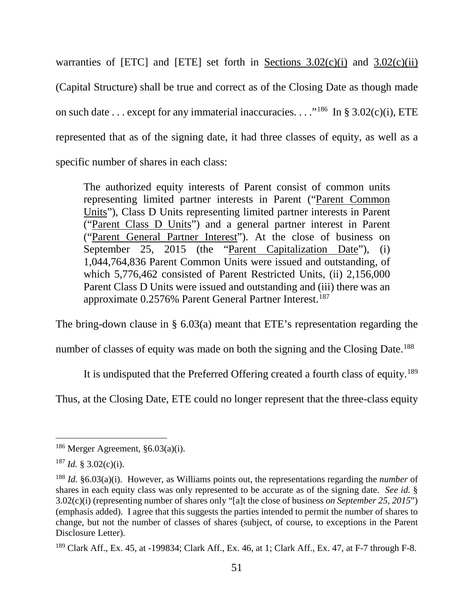warranties of [ETC] and [ETE] set forth in Sections  $3.02(c)(i)$  and  $3.02(c)(ii)$ (Capital Structure) shall be true and correct as of the Closing Date as though made on such date . . . except for any immaterial inaccuracies. . . . .<sup>186</sup> In § 3.02(c)(i), ETE represented that as of the signing date, it had three classes of equity, as well as a specific number of shares in each class:

The authorized equity interests of Parent consist of common units representing limited partner interests in Parent ("Parent Common Units"), Class D Units representing limited partner interests in Parent ("Parent Class D Units") and a general partner interest in Parent ("Parent General Partner Interest"). At the close of business on September 25, 2015 (the "Parent Capitalization Date"), (i) 1,044,764,836 Parent Common Units were issued and outstanding, of which 5,776,462 consisted of Parent Restricted Units, (ii) 2,156,000 Parent Class D Units were issued and outstanding and (iii) there was an approximate 0.2576% Parent General Partner Interest.<sup>187</sup>

The bring-down clause in § 6.03(a) meant that ETE's representation regarding the

number of classes of equity was made on both the signing and the Closing Date.<sup>188</sup>

It is undisputed that the Preferred Offering created a fourth class of equity.<sup>189</sup>

Thus, at the Closing Date, ETE could no longer represent that the three-class equity

 $186$  Merger Agreement,  $\S 6.03(a)(i)$ .

 $187$  *Id.* § 3.02(c)(i).

<sup>188</sup> *Id.* §6.03(a)(i). However, as Williams points out, the representations regarding the *number* of shares in each equity class was only represented to be accurate as of the signing date. *See id.* § 3.02(c)(i) (representing number of shares only "[a]t the close of business *on September 25, 2015*") (emphasis added). I agree that this suggests the parties intended to permit the number of shares to change, but not the number of classes of shares (subject, of course, to exceptions in the Parent Disclosure Letter).

 $189$  Clark Aff., Ex. 45, at -199834; Clark Aff., Ex. 46, at 1; Clark Aff., Ex. 47, at F-7 through F-8.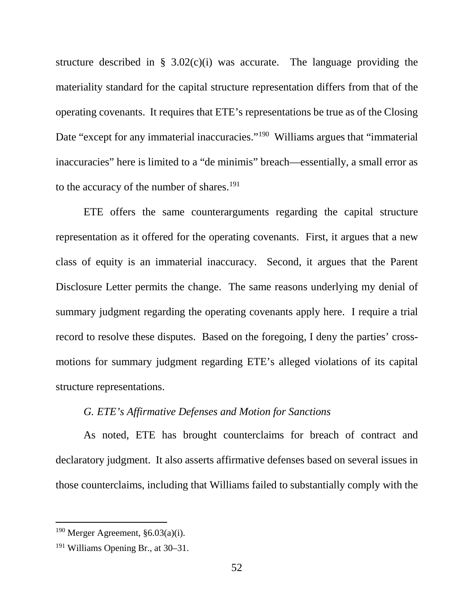structure described in §  $3.02(c)(i)$  was accurate. The language providing the materiality standard for the capital structure representation differs from that of the operating covenants. It requires that ETE's representations be true as of the Closing Date "except for any immaterial inaccuracies."<sup>190</sup> Williams argues that "immaterial" inaccuracies" here is limited to a "de minimis" breach—essentially, a small error as to the accuracy of the number of shares.<sup>191</sup>

ETE offers the same counterarguments regarding the capital structure representation as it offered for the operating covenants. First, it argues that a new class of equity is an immaterial inaccuracy. Second, it argues that the Parent Disclosure Letter permits the change. The same reasons underlying my denial of summary judgment regarding the operating covenants apply here. I require a trial record to resolve these disputes. Based on the foregoing, I deny the parties' crossmotions for summary judgment regarding ETE's alleged violations of its capital structure representations.

### *G. ETE's Affirmative Defenses and Motion for Sanctions*

As noted, ETE has brought counterclaims for breach of contract and declaratory judgment. It also asserts affirmative defenses based on several issues in those counterclaims, including that Williams failed to substantially comply with the

 $190$  Merger Agreement, §6.03(a)(i).

<sup>191</sup> Williams Opening Br., at 30–31.